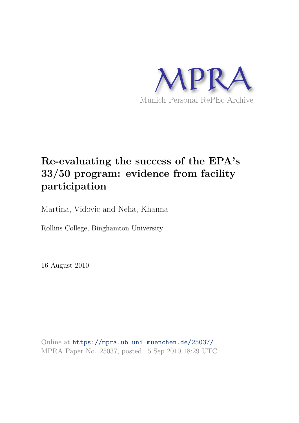

# **Re-evaluating the success of the EPA's 33/50 program: evidence from facility participation**

Martina, Vidovic and Neha, Khanna

Rollins College, Binghamton University

16 August 2010

Online at https://mpra.ub.uni-muenchen.de/25037/ MPRA Paper No. 25037, posted 15 Sep 2010 18:29 UTC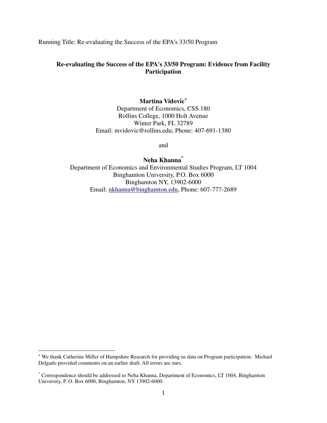Running Title: Re-evaluating the Success of the EPA's 33/50 Program

# **Re-evaluating the Success of the EPA's 33/50 Program: Evidence from Facility Participation**

# **Martina Vidovic<sup>+</sup>**

Department of Economics, CSS 180 Rollins College, 1000 Holt Avenue Winter Park, FL 32789 Email: mvidovic@rollins.edu; Phone: 407-691-1380

and

**Neha Khanna\*** Department of Economics and Environmental Studies Program, LT 1004 Binghamton University, P.O. Box 6000 Binghamton NY, 13902-6000 Email: nkhanna@binghamton.edu, Phone: 607-777-2689

-

<sup>+</sup> We thank Catherine Miller of Hampshire Research for providing us data on Program participation. Michael Delgado provided comments on an earlier draft. All errors are ours.

<sup>\*</sup> Correspondence should be addressed to Neha Khanna, Department of Economics, LT 1004, Binghamton University, P. O. Box 6000, Binghamton, NY 13902-6000.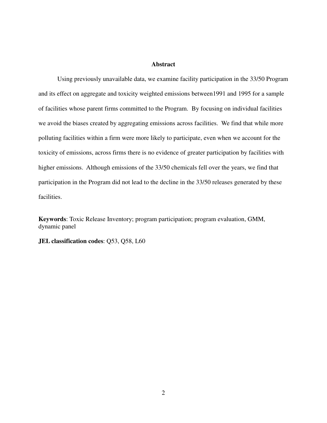#### **Abstract**

Using previously unavailable data, we examine facility participation in the 33/50 Program and its effect on aggregate and toxicity weighted emissions between1991 and 1995 for a sample of facilities whose parent firms committed to the Program. By focusing on individual facilities we avoid the biases created by aggregating emissions across facilities. We find that while more polluting facilities within a firm were more likely to participate, even when we account for the toxicity of emissions, across firms there is no evidence of greater participation by facilities with higher emissions. Although emissions of the 33/50 chemicals fell over the years, we find that participation in the Program did not lead to the decline in the 33/50 releases generated by these facilities.

**Keywords**: Toxic Release Inventory; program participation; program evaluation, GMM, dynamic panel

**JEL classification codes**: Q53, Q58, L60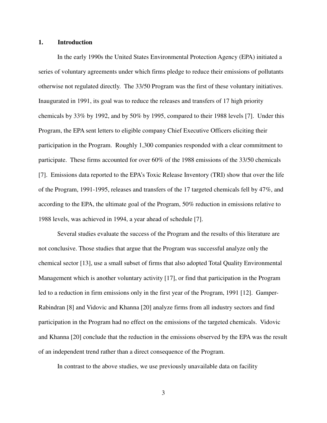## **1. Introduction**

In the early 1990s the United States Environmental Protection Agency (EPA) initiated a series of voluntary agreements under which firms pledge to reduce their emissions of pollutants otherwise not regulated directly. The 33/50 Program was the first of these voluntary initiatives. Inaugurated in 1991, its goal was to reduce the releases and transfers of 17 high priority chemicals by 33% by 1992, and by 50% by 1995, compared to their 1988 levels [7]. Under this Program, the EPA sent letters to eligible company Chief Executive Officers eliciting their participation in the Program. Roughly 1,300 companies responded with a clear commitment to participate. These firms accounted for over 60% of the 1988 emissions of the 33/50 chemicals [7]. Emissions data reported to the EPA's Toxic Release Inventory (TRI) show that over the life of the Program, 1991-1995, releases and transfers of the 17 targeted chemicals fell by 47%, and according to the EPA, the ultimate goal of the Program, 50% reduction in emissions relative to 1988 levels, was achieved in 1994, a year ahead of schedule [7].

Several studies evaluate the success of the Program and the results of this literature are not conclusive. Those studies that argue that the Program was successful analyze only the chemical sector [13], use a small subset of firms that also adopted Total Quality Environmental Management which is another voluntary activity [17], or find that participation in the Program led to a reduction in firm emissions only in the first year of the Program, 1991 [12]. Gamper-Rabindran [8] and Vidovic and Khanna [20] analyze firms from all industry sectors and find participation in the Program had no effect on the emissions of the targeted chemicals. Vidovic and Khanna [20] conclude that the reduction in the emissions observed by the EPA was the result of an independent trend rather than a direct consequence of the Program.

In contrast to the above studies, we use previously unavailable data on facility

3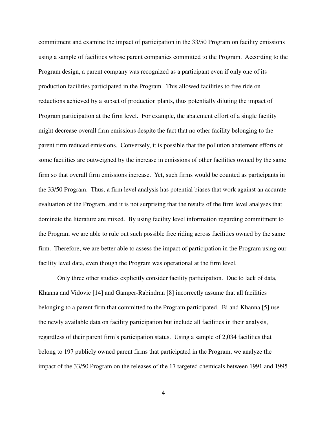commitment and examine the impact of participation in the 33/50 Program on facility emissions using a sample of facilities whose parent companies committed to the Program. According to the Program design, a parent company was recognized as a participant even if only one of its production facilities participated in the Program. This allowed facilities to free ride on reductions achieved by a subset of production plants, thus potentially diluting the impact of Program participation at the firm level. For example, the abatement effort of a single facility might decrease overall firm emissions despite the fact that no other facility belonging to the parent firm reduced emissions. Conversely, it is possible that the pollution abatement efforts of some facilities are outweighed by the increase in emissions of other facilities owned by the same firm so that overall firm emissions increase. Yet, such firms would be counted as participants in the 33/50 Program. Thus, a firm level analysis has potential biases that work against an accurate evaluation of the Program, and it is not surprising that the results of the firm level analyses that dominate the literature are mixed. By using facility level information regarding commitment to the Program we are able to rule out such possible free riding across facilities owned by the same firm. Therefore, we are better able to assess the impact of participation in the Program using our facility level data, even though the Program was operational at the firm level.

Only three other studies explicitly consider facility participation. Due to lack of data, Khanna and Vidovic [14] and Gamper-Rabindran [8] incorrectly assume that all facilities belonging to a parent firm that committed to the Program participated. Bi and Khanna [5] use the newly available data on facility participation but include all facilities in their analysis, regardless of their parent firm's participation status. Using a sample of 2,034 facilities that belong to 197 publicly owned parent firms that participated in the Program, we analyze the impact of the 33/50 Program on the releases of the 17 targeted chemicals between 1991 and 1995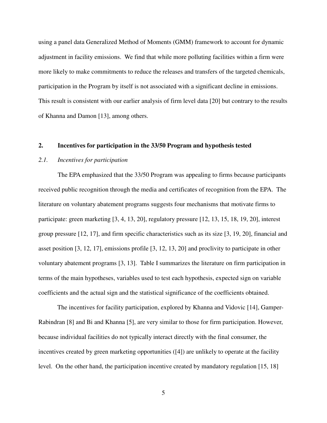using a panel data Generalized Method of Moments (GMM) framework to account for dynamic adjustment in facility emissions. We find that while more polluting facilities within a firm were more likely to make commitments to reduce the releases and transfers of the targeted chemicals, participation in the Program by itself is not associated with a significant decline in emissions. This result is consistent with our earlier analysis of firm level data [20] but contrary to the results of Khanna and Damon [13], among others.

## **2. Incentives for participation in the 33/50 Program and hypothesis tested**

## *2.1. Incentives for participation*

The EPA emphasized that the 33/50 Program was appealing to firms because participants received public recognition through the media and certificates of recognition from the EPA. The literature on voluntary abatement programs suggests four mechanisms that motivate firms to participate: green marketing [3, 4, 13, 20], regulatory pressure [12, 13, 15, 18, 19, 20], interest group pressure [12, 17], and firm specific characteristics such as its size [3, 19, 20], financial and asset position [3, 12, 17], emissions profile [3, 12, 13, 20] and proclivity to participate in other voluntary abatement programs [3, 13]. Table I summarizes the literature on firm participation in terms of the main hypotheses, variables used to test each hypothesis, expected sign on variable coefficients and the actual sign and the statistical significance of the coefficients obtained.

The incentives for facility participation, explored by Khanna and Vidovic [14], Gamper-Rabindran [8] and Bi and Khanna [5], are very similar to those for firm participation. However, because individual facilities do not typically interact directly with the final consumer, the incentives created by green marketing opportunities ([4]) are unlikely to operate at the facility level. On the other hand, the participation incentive created by mandatory regulation [15, 18]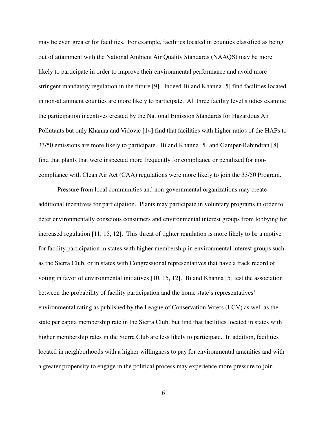may be even greater for facilities. For example, facilities located in counties classified as being out of attainment with the National Ambient Air Quality Standards (NAAQS) may be more likely to participate in order to improve their environmental performance and avoid more stringent mandatory regulation in the future [9]. Indeed Bi and Khanna [5] find facilities located in non-attainment counties are more likely to participate. All three facility level studies examine the participation incentives created by the National Emission Standards for Hazardous Air Pollutants but only Khanna and Vidovic [14] find that facilities with higher ratios of the HAPs to 33/50 emissions are more likely to participate. Bi and Khanna [5] and Gamper-Rabindran [8] find that plants that were inspected more frequently for compliance or penalized for noncompliance with Clean Air Act (CAA) regulations were more likely to join the 33/50 Program.

 Pressure from local communities and non-governmental organizations may create additional incentives for participation. Plants may participate in voluntary programs in order to deter environmentally conscious consumers and environmental interest groups from lobbying for increased regulation [11, 15, 12]. This threat of tighter regulation is more likely to be a motive for facility participation in states with higher membership in environmental interest groups such as the Sierra Club, or in states with Congressional representatives that have a track record of voting in favor of environmental initiatives [10, 15, 12]. Bi and Khanna [5] test the association between the probability of facility participation and the home state's representatives' environmental rating as published by the League of Conservation Voters (LCV) as well as the state per capita membership rate in the Sierra Club, but find that facilities located in states with higher membership rates in the Sierra Club are less likely to participate. In addition, facilities located in neighborhoods with a higher willingness to pay for environmental amenities and with a greater propensity to engage in the political process may experience more pressure to join

6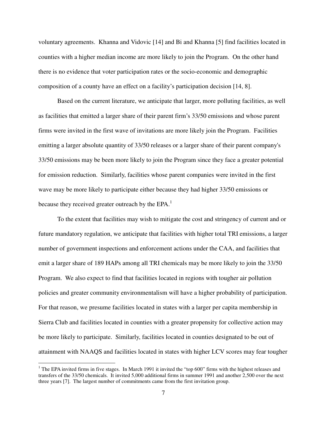voluntary agreements. Khanna and Vidovic [14] and Bi and Khanna [5] find facilities located in counties with a higher median income are more likely to join the Program. On the other hand there is no evidence that voter participation rates or the socio-economic and demographic composition of a county have an effect on a facility's participation decision [14, 8].

 Based on the current literature, we anticipate that larger, more polluting facilities, as well as facilities that emitted a larger share of their parent firm's 33/50 emissions and whose parent firms were invited in the first wave of invitations are more likely join the Program. Facilities emitting a larger absolute quantity of 33/50 releases or a larger share of their parent company's 33/50 emissions may be been more likely to join the Program since they face a greater potential for emission reduction. Similarly, facilities whose parent companies were invited in the first wave may be more likely to participate either because they had higher 33/50 emissions or because they received greater outreach by the EPA. $<sup>1</sup>$ </sup>

 To the extent that facilities may wish to mitigate the cost and stringency of current and or future mandatory regulation, we anticipate that facilities with higher total TRI emissions, a larger number of government inspections and enforcement actions under the CAA, and facilities that emit a larger share of 189 HAPs among all TRI chemicals may be more likely to join the 33/50 Program. We also expect to find that facilities located in regions with tougher air pollution policies and greater community environmentalism will have a higher probability of participation. For that reason, we presume facilities located in states with a larger per capita membership in Sierra Club and facilities located in counties with a greater propensity for collective action may be more likely to participate. Similarly, facilities located in counties designated to be out of attainment with NAAQS and facilities located in states with higher LCV scores may fear tougher

<u>.</u>

<sup>&</sup>lt;sup>1</sup> The EPA invited firms in five stages. In March 1991 it invited the "top 600" firms with the highest releases and transfers of the 33/50 chemicals. It invited 5,000 additional firms in summer 1991 and another 2,500 over the next three years [7]. The largest number of commitments came from the first invitation group.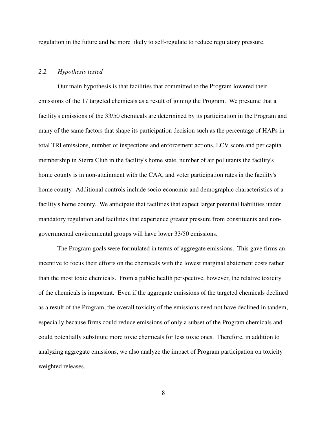regulation in the future and be more likely to self-regulate to reduce regulatory pressure.

# *2.2. Hypothesis tested*

Our main hypothesis is that facilities that committed to the Program lowered their emissions of the 17 targeted chemicals as a result of joining the Program. We presume that a facility's emissions of the 33/50 chemicals are determined by its participation in the Program and many of the same factors that shape its participation decision such as the percentage of HAPs in total TRI emissions, number of inspections and enforcement actions, LCV score and per capita membership in Sierra Club in the facility's home state, number of air pollutants the facility's home county is in non-attainment with the CAA, and voter participation rates in the facility's home county. Additional controls include socio-economic and demographic characteristics of a facility's home county. We anticipate that facilities that expect larger potential liabilities under mandatory regulation and facilities that experience greater pressure from constituents and nongovernmental environmental groups will have lower 33/50 emissions.

The Program goals were formulated in terms of aggregate emissions. This gave firms an incentive to focus their efforts on the chemicals with the lowest marginal abatement costs rather than the most toxic chemicals. From a public health perspective, however, the relative toxicity of the chemicals is important. Even if the aggregate emissions of the targeted chemicals declined as a result of the Program, the overall toxicity of the emissions need not have declined in tandem, especially because firms could reduce emissions of only a subset of the Program chemicals and could potentially substitute more toxic chemicals for less toxic ones. Therefore, in addition to analyzing aggregate emissions, we also analyze the impact of Program participation on toxicity weighted releases.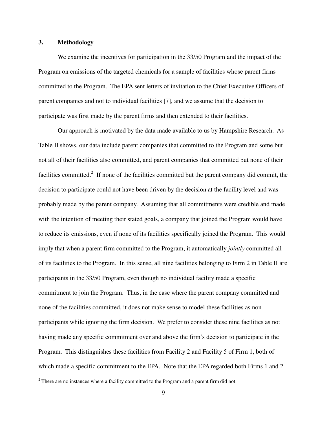## **3. Methodology**

<u>.</u>

We examine the incentives for participation in the 33/50 Program and the impact of the Program on emissions of the targeted chemicals for a sample of facilities whose parent firms committed to the Program. The EPA sent letters of invitation to the Chief Executive Officers of parent companies and not to individual facilities [7], and we assume that the decision to participate was first made by the parent firms and then extended to their facilities.

Our approach is motivated by the data made available to us by Hampshire Research. As Table II shows, our data include parent companies that committed to the Program and some but not all of their facilities also committed, and parent companies that committed but none of their facilities committed.<sup>2</sup> If none of the facilities committed but the parent company did commit, the decision to participate could not have been driven by the decision at the facility level and was probably made by the parent company. Assuming that all commitments were credible and made with the intention of meeting their stated goals, a company that joined the Program would have to reduce its emissions, even if none of its facilities specifically joined the Program. This would imply that when a parent firm committed to the Program, it automatically *jointly* committed all of its facilities to the Program. In this sense, all nine facilities belonging to Firm 2 in Table II are participants in the 33/50 Program, even though no individual facility made a specific commitment to join the Program. Thus, in the case where the parent company committed and none of the facilities committed, it does not make sense to model these facilities as nonparticipants while ignoring the firm decision. We prefer to consider these nine facilities as not having made any specific commitment over and above the firm's decision to participate in the Program. This distinguishes these facilities from Facility 2 and Facility 5 of Firm 1, both of which made a specific commitment to the EPA. Note that the EPA regarded both Firms 1 and 2

 $2$  There are no instances where a facility committed to the Program and a parent firm did not.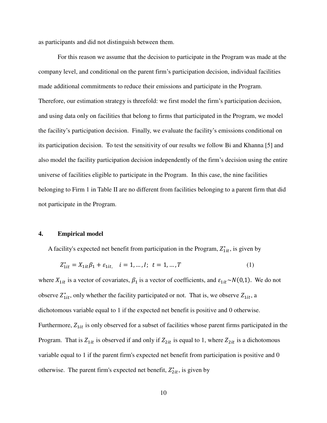as participants and did not distinguish between them.

For this reason we assume that the decision to participate in the Program was made at the company level, and conditional on the parent firm's participation decision, individual facilities made additional commitments to reduce their emissions and participate in the Program. Therefore, our estimation strategy is threefold: we first model the firm's participation decision, and using data only on facilities that belong to firms that participated in the Program, we model the facility's participation decision. Finally, we evaluate the facility's emissions conditional on its participation decision. To test the sensitivity of our results we follow Bi and Khanna [5] and also model the facility participation decision independently of the firm's decision using the entire universe of facilities eligible to participate in the Program. In this case, the nine facilities belonging to Firm 1 in Table II are no different from facilities belonging to a parent firm that did not participate in the Program.

#### **4. Empirical model**

A facility's expected net benefit from participation in the Program,  $Z_{1it}^*$ , is given by

$$
Z_{1it}^* = X_{1it}\beta_1 + \varepsilon_{1it}, \quad i = 1, ..., I; \quad t = 1, ..., T
$$
 (1)

where  $X_{1it}$  is a vector of covariates,  $\beta_1$  is a vector of coefficients, and  $\varepsilon_{1it} \sim N(0,1)$ . We do not observe  $Z_{1it}^*$ , only whether the facility participated or not. That is, we observe  $Z_{1it}$ , a dichotomous variable equal to 1 if the expected net benefit is positive and 0 otherwise. Furthermore,  $Z_{1it}$  is only observed for a subset of facilities whose parent firms participated in the Program. That is  $Z_{1it}$  is observed if and only if  $Z_{2it}$  is equal to 1, where  $Z_{2it}$  is a dichotomous variable equal to 1 if the parent firm's expected net benefit from participation is positive and 0 otherwise. The parent firm's expected net benefit,  $Z_{2it}^*$ , is given by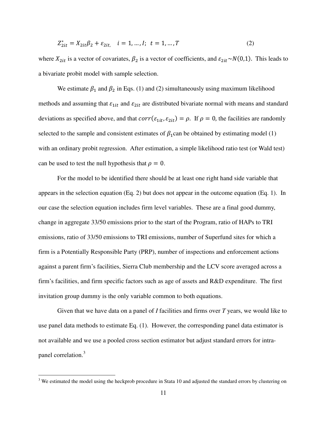$$
Z_{2it}^* = X_{2it}\beta_2 + \varepsilon_{2it}, \quad i = 1, \dots, I; \quad t = 1, \dots, T
$$
 (2)

where  $X_{2it}$  is a vector of covariates,  $\beta_2$  is a vector of coefficients, and  $\varepsilon_{2it} \sim N(0,1)$ . This leads to a bivariate probit model with sample selection.

We estimate  $\beta_1$  and  $\beta_2$  in Eqs. (1) and (2) simultaneously using maximum likelihood methods and assuming that  $\varepsilon_{1it}$  and  $\varepsilon_{2it}$  are distributed bivariate normal with means and standard deviations as specified above, and that  $corr(\epsilon_{1it}, \epsilon_{2it}) = \rho$ . If  $\rho = 0$ , the facilities are randomly selected to the sample and consistent estimates of  $\beta_1$  can be obtained by estimating model (1) with an ordinary probit regression. After estimation, a simple likelihood ratio test (or Wald test) can be used to test the null hypothesis that  $\rho = 0$ .

For the model to be identified there should be at least one right hand side variable that appears in the selection equation (Eq. 2) but does not appear in the outcome equation (Eq. 1). In our case the selection equation includes firm level variables. These are a final good dummy, change in aggregate 33/50 emissions prior to the start of the Program, ratio of HAPs to TRI emissions, ratio of 33/50 emissions to TRI emissions, number of Superfund sites for which a firm is a Potentially Responsible Party (PRP), number of inspections and enforcement actions against a parent firm's facilities, Sierra Club membership and the LCV score averaged across a firm's facilities, and firm specific factors such as age of assets and R&D expenditure. The first invitation group dummy is the only variable common to both equations.

Given that we have data on a panel of *I* facilities and firms over *T* years, we would like to use panel data methods to estimate Eq. (1). However, the corresponding panel data estimator is not available and we use a pooled cross section estimator but adjust standard errors for intrapanel correlation.<sup>3</sup>

<u>.</u>

 $3$  We estimated the model using the heckprob procedure in Stata 10 and adjusted the standard errors by clustering on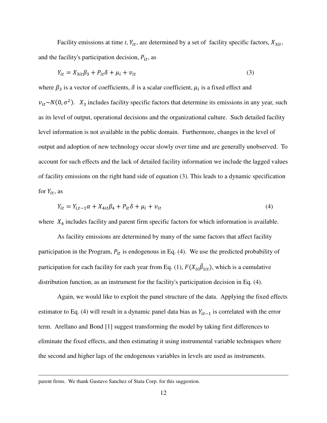Facility emissions at time *t*,  $Y_{it}$ , are determined by a set of facility specific factors,  $X_{3it}$ , and the facility's participation decision,  $P_{it}$ , as

$$
Y_{it} = X_{3it}\beta_3 + P_{it}\delta + \mu_i + \nu_{it}
$$
\n<sup>(3)</sup>

where  $\beta_3$  is a vector of coefficients,  $\delta$  is a scalar coefficient,  $\mu_i$  is a fixed effect and  $v_{it} \sim N(0, \sigma^2)$ .  $X_3$  includes facility specific factors that determine its emissions in any year, such as its level of output, operational decisions and the organizational culture. Such detailed facility level information is not available in the public domain. Furthermore, changes in the level of output and adoption of new technology occur slowly over time and are generally unobserved. To account for such effects and the lack of detailed facility information we include the lagged values of facility emissions on the right hand side of equation (3). This leads to a dynamic specification for  $Y_{it}$ , as

$$
Y_{it} = Y_{i,t-1}\alpha + X_{4it}\beta_4 + P_{it}\delta + \mu_i + \nu_{it}
$$
\n<sup>(4)</sup>

where  $X_4$  includes facility and parent firm specific factors for which information is available.

As facility emissions are determined by many of the same factors that affect facility participation in the Program,  $P_{it}$  is endogenous in Eq. (4). We use the predicted probability of participation for each facility for each year from Eq. (1),  $F(X_{it} \hat{\beta}_{1it})$ , which is a cumulative distribution function, as an instrument for the facility's participation decision in Eq. (4).

Again, we would like to exploit the panel structure of the data. Applying the fixed effects estimator to Eq. (4) will result in a dynamic panel data bias as  $Y_{it-1}$  is correlated with the error term. Arellano and Bond [1] suggest transforming the model by taking first differences to eliminate the fixed effects, and then estimating it using instrumental variable techniques where the second and higher lags of the endogenous variables in levels are used as instruments.

 $\overline{a}$ 

parent firms. We thank Gustavo Sanchez of Stata Corp. for this suggestion.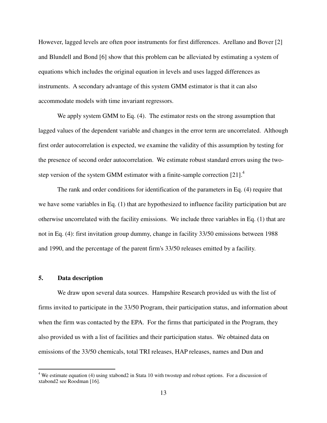However, lagged levels are often poor instruments for first differences. Arellano and Bover [2] and Blundell and Bond [6] show that this problem can be alleviated by estimating a system of equations which includes the original equation in levels and uses lagged differences as instruments. A secondary advantage of this system GMM estimator is that it can also accommodate models with time invariant regressors.

We apply system GMM to Eq. (4). The estimator rests on the strong assumption that lagged values of the dependent variable and changes in the error term are uncorrelated. Although first order autocorrelation is expected, we examine the validity of this assumption by testing for the presence of second order autocorrelation. We estimate robust standard errors using the twostep version of the system GMM estimator with a finite-sample correction  $[21]$ .<sup>4</sup>

 The rank and order conditions for identification of the parameters in Eq. (4) require that we have some variables in Eq. (1) that are hypothesized to influence facility participation but are otherwise uncorrelated with the facility emissions. We include three variables in Eq. (1) that are not in Eq. (4): first invitation group dummy, change in facility 33/50 emissions between 1988 and 1990, and the percentage of the parent firm's 33/50 releases emitted by a facility.

#### **5. Data description**

 We draw upon several data sources. Hampshire Research provided us with the list of firms invited to participate in the 33/50 Program, their participation status, and information about when the firm was contacted by the EPA. For the firms that participated in the Program, they also provided us with a list of facilities and their participation status. We obtained data on emissions of the 33/50 chemicals, total TRI releases, HAP releases, names and Dun and

<sup>&</sup>lt;sup>4</sup> We estimate equation (4) using xtabond2 in Stata 10 with twostep and robust options. For a discussion of xtabond2 see Roodman [16].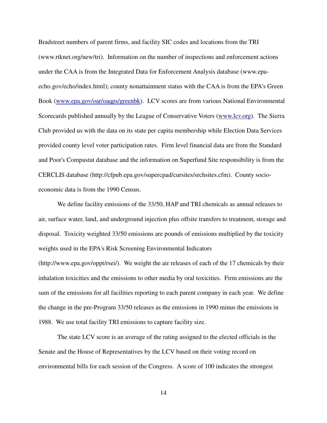Bradstreet numbers of parent firms, and facility SIC codes and locations from the TRI (www.rtknet.org/new/tri). Information on the number of inspections and enforcement actions under the CAA is from the Integrated Data for Enforcement Analysis database (www.epaecho.gov/echo/index.html); county nonattainment status with the CAA is from the EPA's Green Book (www.epa.gov/oar/oaqps/greenbk). LCV scores are from various National Environmental Scorecards published annually by the League of Conservative Voters (www.lcv.org). The Sierra Club provided us with the data on its state per capita membership while Election Data Services provided county level voter participation rates. Firm level financial data are from the Standard and Poor's Compustat database and the information on Superfund Site responsibility is from the CERCLIS database (http://cfpub.epa.gov/supercpad/cursites/srchsites.cfm). County socioeconomic data is from the 1990 Census.

 We define facility emissions of the 33/50, HAP and TRI chemicals as annual releases to air, surface water, land, and underground injection plus offsite transfers to treatment, storage and disposal. Toxicity weighted 33/50 emissions are pounds of emissions multiplied by the toxicity weights used in the EPA's Risk Screening Environmental Indicators

(http://www.epa.gov/oppt/rsei/). We weight the air releases of each of the 17 chemicals by their inhalation toxicities and the emissions to other media by oral toxicities. Firm emissions are the sum of the emissions for all facilities reporting to each parent company in each year. We define the change in the pre-Program 33/50 releases as the emissions in 1990 minus the emissions in 1988. We use total facility TRI emissions to capture facility size.

 The state LCV score is an average of the rating assigned to the elected officials in the Senate and the House of Representatives by the LCV based on their voting record on environmental bills for each session of the Congress. A score of 100 indicates the strongest

14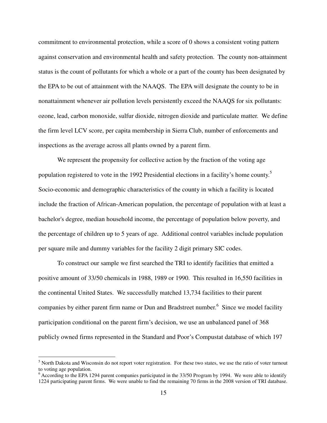commitment to environmental protection, while a score of 0 shows a consistent voting pattern against conservation and environmental health and safety protection. The county non-attainment status is the count of pollutants for which a whole or a part of the county has been designated by the EPA to be out of attainment with the NAAQS. The EPA will designate the county to be in nonattainment whenever air pollution levels persistently exceed the NAAQS for six pollutants: ozone, lead, carbon monoxide, sulfur dioxide, nitrogen dioxide and particulate matter. We define the firm level LCV score, per capita membership in Sierra Club, number of enforcements and inspections as the average across all plants owned by a parent firm.

We represent the propensity for collective action by the fraction of the voting age population registered to vote in the 1992 Presidential elections in a facility's home county.<sup>5</sup> Socio-economic and demographic characteristics of the county in which a facility is located include the fraction of African-American population, the percentage of population with at least a bachelor's degree, median household income, the percentage of population below poverty, and the percentage of children up to 5 years of age. Additional control variables include population per square mile and dummy variables for the facility 2 digit primary SIC codes.

To construct our sample we first searched the TRI to identify facilities that emitted a positive amount of 33/50 chemicals in 1988, 1989 or 1990. This resulted in 16,550 facilities in the continental United States. We successfully matched 13,734 facilities to their parent companies by either parent firm name or Dun and Bradstreet number.<sup>6</sup> Since we model facility participation conditional on the parent firm's decision, we use an unbalanced panel of 368 publicly owned firms represented in the Standard and Poor's Compustat database of which 197

<u>.</u>

<sup>&</sup>lt;sup>5</sup> North Dakota and Wisconsin do not report voter registration. For these two states, we use the ratio of voter turnout to voting age population.

<sup>&</sup>lt;sup>6</sup> According to the EPA 1294 parent companies participated in the 33/50 Program by 1994. We were able to identify 1224 participating parent firms. We were unable to find the remaining 70 firms in the 2008 version of TRI database.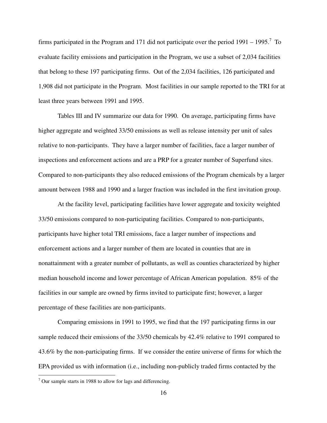firms participated in the Program and 171 did not participate over the period  $1991 - 1995$ .<sup>7</sup> To evaluate facility emissions and participation in the Program, we use a subset of 2,034 facilities that belong to these 197 participating firms. Out of the 2,034 facilities, 126 participated and 1,908 did not participate in the Program. Most facilities in our sample reported to the TRI for at least three years between 1991 and 1995.

Tables III and IV summarize our data for 1990. On average, participating firms have higher aggregate and weighted 33/50 emissions as well as release intensity per unit of sales relative to non-participants. They have a larger number of facilities, face a larger number of inspections and enforcement actions and are a PRP for a greater number of Superfund sites. Compared to non-participants they also reduced emissions of the Program chemicals by a larger amount between 1988 and 1990 and a larger fraction was included in the first invitation group.

At the facility level, participating facilities have lower aggregate and toxicity weighted 33/50 emissions compared to non-participating facilities. Compared to non-participants, participants have higher total TRI emissions, face a larger number of inspections and enforcement actions and a larger number of them are located in counties that are in nonattainment with a greater number of pollutants, as well as counties characterized by higher median household income and lower percentage of African American population. 85% of the facilities in our sample are owned by firms invited to participate first; however, a larger percentage of these facilities are non-participants.

Comparing emissions in 1991 to 1995, we find that the 197 participating firms in our sample reduced their emissions of the 33/50 chemicals by 42.4% relative to 1991 compared to 43.6% by the non-participating firms. If we consider the entire universe of firms for which the EPA provided us with information (i.e., including non-publicly traded firms contacted by the

 $\overline{a}$ 

 $7$  Our sample starts in 1988 to allow for lags and differencing.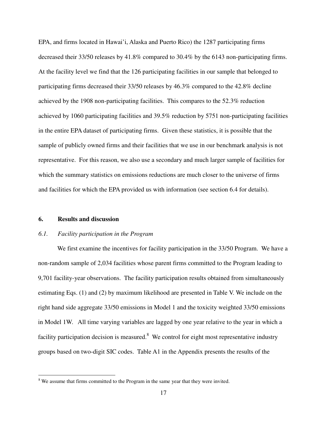EPA, and firms located in Hawai'i, Alaska and Puerto Rico) the 1287 participating firms decreased their 33/50 releases by 41.8% compared to 30.4% by the 6143 non-participating firms. At the facility level we find that the 126 participating facilities in our sample that belonged to participating firms decreased their 33/50 releases by 46.3% compared to the 42.8% decline achieved by the 1908 non-participating facilities. This compares to the 52.3% reduction achieved by 1060 participating facilities and 39.5% reduction by 5751 non-participating facilities in the entire EPA dataset of participating firms. Given these statistics, it is possible that the sample of publicly owned firms and their facilities that we use in our benchmark analysis is not representative. For this reason, we also use a secondary and much larger sample of facilities for which the summary statistics on emissions reductions are much closer to the universe of firms and facilities for which the EPA provided us with information (see section 6.4 for details).

## **6. Results and discussion**

 $\overline{a}$ 

#### *6.1. Facility participation in the Program*

We first examine the incentives for facility participation in the 33/50 Program. We have a non-random sample of 2,034 facilities whose parent firms committed to the Program leading to 9,701 facility-year observations. The facility participation results obtained from simultaneously estimating Eqs. (1) and (2) by maximum likelihood are presented in Table V. We include on the right hand side aggregate 33/50 emissions in Model 1 and the toxicity weighted 33/50 emissions in Model 1W. All time varying variables are lagged by one year relative to the year in which a facility participation decision is measured.<sup>8</sup> We control for eight most representative industry groups based on two-digit SIC codes. Table A1 in the Appendix presents the results of the

<sup>&</sup>lt;sup>8</sup> We assume that firms committed to the Program in the same year that they were invited.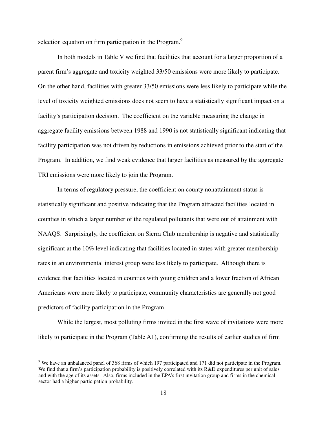selection equation on firm participation in the Program.<sup>9</sup>

In both models in Table V we find that facilities that account for a larger proportion of a parent firm's aggregate and toxicity weighted 33/50 emissions were more likely to participate. On the other hand, facilities with greater 33/50 emissions were less likely to participate while the level of toxicity weighted emissions does not seem to have a statistically significant impact on a facility's participation decision. The coefficient on the variable measuring the change in aggregate facility emissions between 1988 and 1990 is not statistically significant indicating that facility participation was not driven by reductions in emissions achieved prior to the start of the Program. In addition, we find weak evidence that larger facilities as measured by the aggregate TRI emissions were more likely to join the Program.

In terms of regulatory pressure, the coefficient on county nonattainment status is statistically significant and positive indicating that the Program attracted facilities located in counties in which a larger number of the regulated pollutants that were out of attainment with NAAQS. Surprisingly, the coefficient on Sierra Club membership is negative and statistically significant at the 10% level indicating that facilities located in states with greater membership rates in an environmental interest group were less likely to participate. Although there is evidence that facilities located in counties with young children and a lower fraction of African Americans were more likely to participate, community characteristics are generally not good predictors of facility participation in the Program.

While the largest, most polluting firms invited in the first wave of invitations were more likely to participate in the Program (Table A1), confirming the results of earlier studies of firm

<u>.</u>

 $9$  We have an unbalanced panel of 368 firms of which 197 participated and 171 did not participate in the Program. We find that a firm's participation probability is positively correlated with its R&D expenditures per unit of sales and with the age of its assets. Also, firms included in the EPA's first invitation group and firms in the chemical sector had a higher participation probability.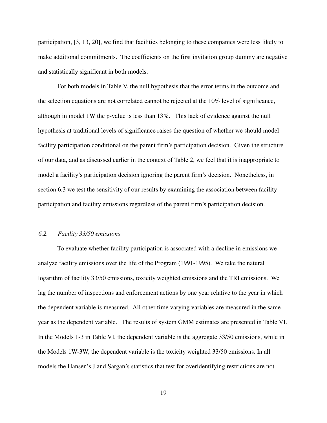participation, [3, 13, 20], we find that facilities belonging to these companies were less likely to make additional commitments. The coefficients on the first invitation group dummy are negative and statistically significant in both models.

For both models in Table V, the null hypothesis that the error terms in the outcome and the selection equations are not correlated cannot be rejected at the 10% level of significance, although in model 1W the p-value is less than  $13\%$ . This lack of evidence against the null hypothesis at traditional levels of significance raises the question of whether we should model facility participation conditional on the parent firm's participation decision. Given the structure of our data, and as discussed earlier in the context of Table 2, we feel that it is inappropriate to model a facility's participation decision ignoring the parent firm's decision. Nonetheless, in section 6.3 we test the sensitivity of our results by examining the association between facility participation and facility emissions regardless of the parent firm's participation decision.

#### *6.2. Facility 33/50 emissions*

To evaluate whether facility participation is associated with a decline in emissions we analyze facility emissions over the life of the Program (1991-1995). We take the natural logarithm of facility 33/50 emissions, toxicity weighted emissions and the TRI emissions. We lag the number of inspections and enforcement actions by one year relative to the year in which the dependent variable is measured. All other time varying variables are measured in the same year as the dependent variable. The results of system GMM estimates are presented in Table VI. In the Models 1-3 in Table VI, the dependent variable is the aggregate 33/50 emissions, while in the Models 1W-3W, the dependent variable is the toxicity weighted 33/50 emissions. In all models the Hansen's J and Sargan's statistics that test for overidentifying restrictions are not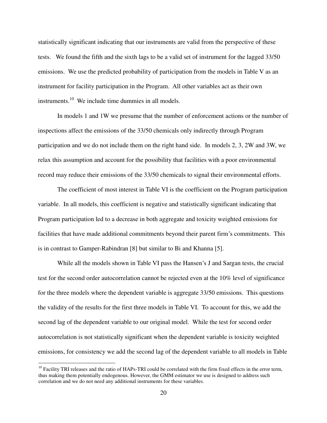statistically significant indicating that our instruments are valid from the perspective of these tests. We found the fifth and the sixth lags to be a valid set of instrument for the lagged 33/50 emissions. We use the predicted probability of participation from the models in Table V as an instrument for facility participation in the Program. All other variables act as their own instruments.<sup>10</sup> We include time dummies in all models.

In models 1 and 1W we presume that the number of enforcement actions or the number of inspections affect the emissions of the 33/50 chemicals only indirectly through Program participation and we do not include them on the right hand side. In models 2, 3, 2W and 3W, we relax this assumption and account for the possibility that facilities with a poor environmental record may reduce their emissions of the 33/50 chemicals to signal their environmental efforts.

The coefficient of most interest in Table VI is the coefficient on the Program participation variable. In all models, this coefficient is negative and statistically significant indicating that Program participation led to a decrease in both aggregate and toxicity weighted emissions for facilities that have made additional commitments beyond their parent firm's commitments. This is in contrast to Gamper-Rabindran [8] but similar to Bi and Khanna [5].

While all the models shown in Table VI pass the Hansen's J and Sargan tests, the crucial test for the second order autocorrelation cannot be rejected even at the 10% level of significance for the three models where the dependent variable is aggregate 33/50 emissions. This questions the validity of the results for the first three models in Table VI. To account for this, we add the second lag of the dependent variable to our original model. While the test for second order autocorrelation is not statistically significant when the dependent variable is toxicity weighted emissions, for consistency we add the second lag of the dependent variable to all models in Table

<u>.</u>

 $10$  Facility TRI releases and the ratio of HAPs-TRI could be correlated with the firm fixed effects in the error term, thus making them potentially endogenous. However, the GMM estimator we use is designed to address such correlation and we do not need any additional instruments for these variables.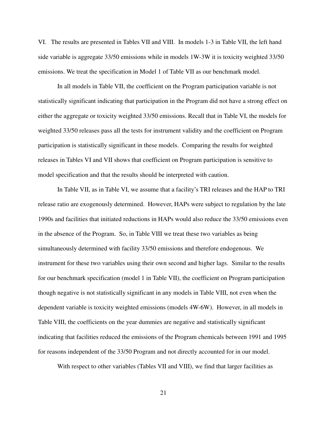VI. The results are presented in Tables VII and VIII. In models 1-3 in Table VII, the left hand side variable is aggregate 33/50 emissions while in models 1W-3W it is toxicity weighted 33/50 emissions. We treat the specification in Model 1 of Table VII as our benchmark model.

In all models in Table VII, the coefficient on the Program participation variable is not statistically significant indicating that participation in the Program did not have a strong effect on either the aggregate or toxicity weighted 33/50 emissions. Recall that in Table VI, the models for weighted 33/50 releases pass all the tests for instrument validity and the coefficient on Program participation is statistically significant in these models. Comparing the results for weighted releases in Tables VI and VII shows that coefficient on Program participation is sensitive to model specification and that the results should be interpreted with caution.

In Table VII, as in Table VI, we assume that a facility's TRI releases and the HAP to TRI release ratio are exogenously determined. However, HAPs were subject to regulation by the late 1990s and facilities that initiated reductions in HAPs would also reduce the 33/50 emissions even in the absence of the Program. So, in Table VIII we treat these two variables as being simultaneously determined with facility 33/50 emissions and therefore endogenous. We instrument for these two variables using their own second and higher lags. Similar to the results for our benchmark specification (model 1 in Table VII), the coefficient on Program participation though negative is not statistically significant in any models in Table VIII, not even when the dependent variable is toxicity weighted emissions (models 4W-6W). However, in all models in Table VIII, the coefficients on the year dummies are negative and statistically significant indicating that facilities reduced the emissions of the Program chemicals between 1991 and 1995 for reasons independent of the 33/50 Program and not directly accounted for in our model.

With respect to other variables (Tables VII and VIII), we find that larger facilities as

21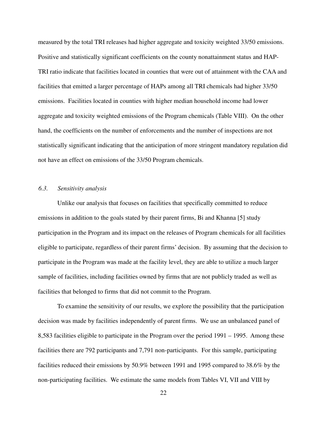measured by the total TRI releases had higher aggregate and toxicity weighted 33/50 emissions. Positive and statistically significant coefficients on the county nonattainment status and HAP-TRI ratio indicate that facilities located in counties that were out of attainment with the CAA and facilities that emitted a larger percentage of HAPs among all TRI chemicals had higher 33/50 emissions. Facilities located in counties with higher median household income had lower aggregate and toxicity weighted emissions of the Program chemicals (Table VIII). On the other hand, the coefficients on the number of enforcements and the number of inspections are not statistically significant indicating that the anticipation of more stringent mandatory regulation did not have an effect on emissions of the 33/50 Program chemicals.

# *6.3. Sensitivity analysis*

Unlike our analysis that focuses on facilities that specifically committed to reduce emissions in addition to the goals stated by their parent firms, Bi and Khanna [5] study participation in the Program and its impact on the releases of Program chemicals for all facilities eligible to participate, regardless of their parent firms' decision. By assuming that the decision to participate in the Program was made at the facility level, they are able to utilize a much larger sample of facilities, including facilities owned by firms that are not publicly traded as well as facilities that belonged to firms that did not commit to the Program.

To examine the sensitivity of our results, we explore the possibility that the participation decision was made by facilities independently of parent firms. We use an unbalanced panel of 8,583 facilities eligible to participate in the Program over the period 1991 – 1995. Among these facilities there are 792 participants and 7,791 non-participants. For this sample, participating facilities reduced their emissions by 50.9% between 1991 and 1995 compared to 38.6% by the non-participating facilities. We estimate the same models from Tables VI, VII and VIII by

22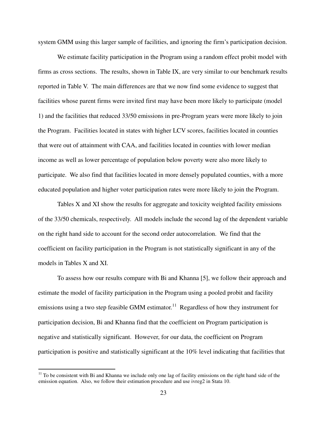system GMM using this larger sample of facilities, and ignoring the firm's participation decision.

We estimate facility participation in the Program using a random effect probit model with firms as cross sections. The results, shown in Table IX, are very similar to our benchmark results reported in Table V. The main differences are that we now find some evidence to suggest that facilities whose parent firms were invited first may have been more likely to participate (model 1) and the facilities that reduced 33/50 emissions in pre-Program years were more likely to join the Program. Facilities located in states with higher LCV scores, facilities located in counties that were out of attainment with CAA, and facilities located in counties with lower median income as well as lower percentage of population below poverty were also more likely to participate. We also find that facilities located in more densely populated counties, with a more educated population and higher voter participation rates were more likely to join the Program.

Tables X and XI show the results for aggregate and toxicity weighted facility emissions of the 33/50 chemicals, respectively. All models include the second lag of the dependent variable on the right hand side to account for the second order autocorrelation. We find that the coefficient on facility participation in the Program is not statistically significant in any of the models in Tables X and XI.

To assess how our results compare with Bi and Khanna [5], we follow their approach and estimate the model of facility participation in the Program using a pooled probit and facility emissions using a two step feasible GMM estimator.<sup>11</sup> Regardless of how they instrument for participation decision, Bi and Khanna find that the coefficient on Program participation is negative and statistically significant. However, for our data, the coefficient on Program participation is positive and statistically significant at the 10% level indicating that facilities that

<u>.</u>

 $11$  To be consistent with Bi and Khanna we include only one lag of facility emissions on the right hand side of the emission equation. Also, we follow their estimation procedure and use ivreg2 in Stata 10.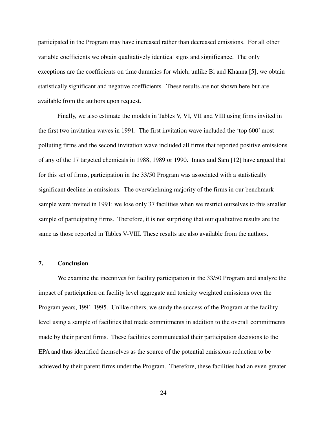participated in the Program may have increased rather than decreased emissions. For all other variable coefficients we obtain qualitatively identical signs and significance. The only exceptions are the coefficients on time dummies for which, unlike Bi and Khanna [5], we obtain statistically significant and negative coefficients. These results are not shown here but are available from the authors upon request.

 Finally, we also estimate the models in Tables V, VI, VII and VIII using firms invited in the first two invitation waves in 1991. The first invitation wave included the 'top 600' most polluting firms and the second invitation wave included all firms that reported positive emissions of any of the 17 targeted chemicals in 1988, 1989 or 1990. Innes and Sam [12] have argued that for this set of firms, participation in the 33/50 Program was associated with a statistically significant decline in emissions. The overwhelming majority of the firms in our benchmark sample were invited in 1991: we lose only 37 facilities when we restrict ourselves to this smaller sample of participating firms. Therefore, it is not surprising that our qualitative results are the same as those reported in Tables V-VIII. These results are also available from the authors.

## **7. Conclusion**

We examine the incentives for facility participation in the 33/50 Program and analyze the impact of participation on facility level aggregate and toxicity weighted emissions over the Program years, 1991-1995. Unlike others, we study the success of the Program at the facility level using a sample of facilities that made commitments in addition to the overall commitments made by their parent firms. These facilities communicated their participation decisions to the EPA and thus identified themselves as the source of the potential emissions reduction to be achieved by their parent firms under the Program. Therefore, these facilities had an even greater

24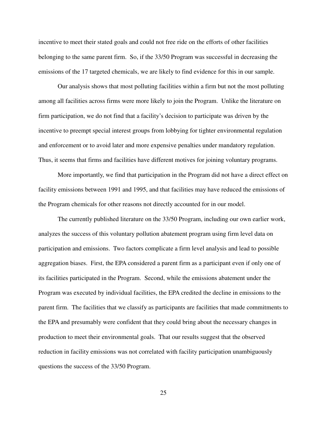incentive to meet their stated goals and could not free ride on the efforts of other facilities belonging to the same parent firm. So, if the 33/50 Program was successful in decreasing the emissions of the 17 targeted chemicals, we are likely to find evidence for this in our sample.

Our analysis shows that most polluting facilities within a firm but not the most polluting among all facilities across firms were more likely to join the Program. Unlike the literature on firm participation, we do not find that a facility's decision to participate was driven by the incentive to preempt special interest groups from lobbying for tighter environmental regulation and enforcement or to avoid later and more expensive penalties under mandatory regulation. Thus, it seems that firms and facilities have different motives for joining voluntary programs.

More importantly, we find that participation in the Program did not have a direct effect on facility emissions between 1991 and 1995, and that facilities may have reduced the emissions of the Program chemicals for other reasons not directly accounted for in our model.

The currently published literature on the 33/50 Program, including our own earlier work, analyzes the success of this voluntary pollution abatement program using firm level data on participation and emissions. Two factors complicate a firm level analysis and lead to possible aggregation biases. First, the EPA considered a parent firm as a participant even if only one of its facilities participated in the Program. Second, while the emissions abatement under the Program was executed by individual facilities, the EPA credited the decline in emissions to the parent firm. The facilities that we classify as participants are facilities that made commitments to the EPA and presumably were confident that they could bring about the necessary changes in production to meet their environmental goals. That our results suggest that the observed reduction in facility emissions was not correlated with facility participation unambiguously questions the success of the 33/50 Program.

25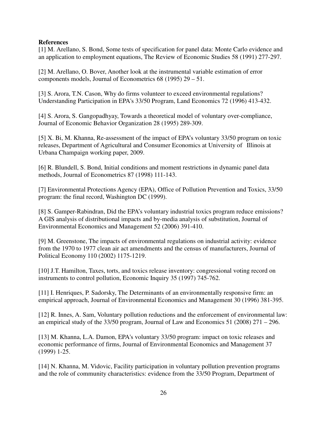# **References**

[1] M. Arellano, S. Bond, Some tests of specification for panel data: Monte Carlo evidence and an application to employment equations, The Review of Economic Studies 58 (1991) 277-297.

[2] M. Arellano, O. Bover, Another look at the instrumental variable estimation of error components models, Journal of Econometrics 68 (1995) 29 – 51.

[3] S. Arora, T.N. Cason, Why do firms volunteer to exceed environmental regulations? Understanding Participation in EPA's 33/50 Program, Land Economics 72 (1996) 413-432.

[4] S. Arora, S. Gangopadhyay, Towards a theoretical model of voluntary over-compliance, Journal of Economic Behavior Organization 28 (1995) 289-309.

[5] X. Bi, M. Khanna, Re-assessment of the impact of EPA's voluntary 33/50 program on toxic releases, Department of Agricultural and Consumer Economics at University of Illinois at Urbana Champaign working paper, 2009.

[6] R. Blundell, S. Bond, Initial conditions and moment restrictions in dynamic panel data methods, Journal of Econometrics 87 (1998) 111-143.

[7] Environmental Protections Agency (EPA), Office of Pollution Prevention and Toxics, 33/50 program: the final record, Washington DC (1999).

[8] S. Gamper-Rabindran, Did the EPA's voluntary industrial toxics program reduce emissions? A GIS analysis of distributional impacts and by-media analysis of substitution, Journal of Environmental Economics and Management 52 (2006) 391-410.

[9] M. Greenstone, The impacts of environmental regulations on industrial activity: evidence from the 1970 to 1977 clean air act amendments and the census of manufacturers, Journal of Political Economy 110 (2002) 1175-1219.

[10] J.T. Hamilton, Taxes, torts, and toxics release inventory: congressional voting record on instruments to control pollution, Economic Inquiry 35 (1997) 745-762.

[11] I. Henriques, P. Sadorsky, The Determinants of an environmentally responsive firm: an empirical approach, Journal of Environmental Economics and Management 30 (1996) 381-395.

[12] R. Innes, A. Sam, Voluntary pollution reductions and the enforcement of environmental law: an empirical study of the 33/50 program, Journal of Law and Economics 51 (2008) 271 – 296.

[13] M. Khanna, L.A. Damon, EPA's voluntary 33/50 program: impact on toxic releases and economic performance of firms, Journal of Environmental Economics and Management 37 (1999) 1-25.

[14] N. Khanna, M. Vidovic, Facility participation in voluntary pollution prevention programs and the role of community characteristics: evidence from the 33/50 Program, Department of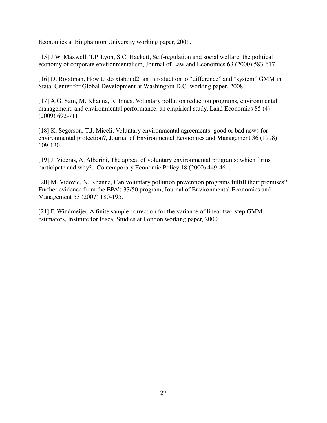Economics at Binghamton University working paper, 2001.

[15] J.W. Maxwell, T.P. Lyon, S.C. Hackett, Self-regulation and social welfare: the political economy of corporate environmentalism, Journal of Law and Economics 63 (2000) 583-617.

[16] D. Roodman, How to do xtabond2: an introduction to "difference" and "system" GMM in Stata, Center for Global Development at Washington D.C. working paper, 2008.

[17] A.G. Sam, M. Khanna, R. Innes, Voluntary pollution reduction programs, environmental management, and environmental performance: an empirical study, Land Economics 85 (4) (2009) 692-711.

[18] K. Segerson, T.J. Miceli, Voluntary environmental agreements: good or bad news for environmental protection?, Journal of Environmental Economics and Management 36 (1998) 109-130.

[19] J. Videras, A. Alberini, The appeal of voluntary environmental programs: which firms participate and why?, Contemporary Economic Policy 18 (2000) 449-461.

[20] M. Vidovic, N. Khanna, Can voluntary pollution prevention programs fulfill their promises? Further evidence from the EPA's 33/50 program, Journal of Environmental Economics and Management 53 (2007) 180-195.

[21] F. Windmeijer, A finite sample correction for the variance of linear two-step GMM estimators, Institute for Fiscal Studies at London working paper, 2000.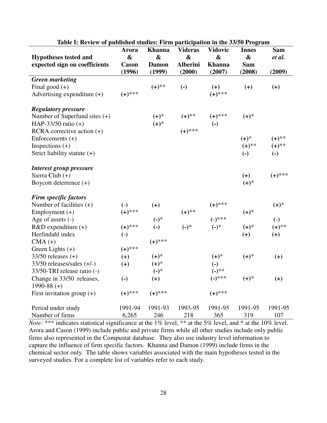|                                 | Arora             | <b>Khanna</b>     | <b>Videras</b>            | <b>Vidovic</b>         | <b>Innes</b>              | <b>Sam</b>        |
|---------------------------------|-------------------|-------------------|---------------------------|------------------------|---------------------------|-------------------|
| <b>Hypotheses tested and</b>    | $\boldsymbol{\&}$ | $\boldsymbol{\&}$ | $\boldsymbol{\&}$         | $\boldsymbol{\&}$      | $\boldsymbol{\&}$         | et al.            |
| expected sign on coefficients   | <b>Cason</b>      | <b>Damon</b>      | <b>Alberini</b>           | <b>Khanna</b>          | <b>Sam</b>                |                   |
|                                 | (1996)            | (1999)            | (2000)                    | (2007)                 | (2008)                    | (2009)            |
| <b>Green marketing</b>          |                   |                   |                           |                        |                           |                   |
| Final good $(+)$                |                   | $(+)^{**}$        | $\left( \text{-} \right)$ | $(+)$                  | $(+)$                     | $(+)$             |
| Advertising expenditure $(+)$   | $(+)^{***}$       |                   |                           | $(+)^{***}$            |                           |                   |
| <b>Regulatory pressure</b>      |                   |                   |                           |                        |                           |                   |
| Number of Superfund sites $(+)$ |                   | $(+)^*$           | $(+)^{**}$                | $(+)^{***}$            | $(+)^*$                   |                   |
| HAP-33/50 ratio $(+)$           |                   | $(+)^*$           |                           | $\left( \cdot \right)$ |                           |                   |
| RCRA corrective action $(+)$    |                   |                   | $(+)^{***}$               |                        |                           |                   |
| Enforcements $(+)$              |                   |                   |                           |                        | $(+)^*$                   | $(+)^{**}$        |
| Inspections $(+)$               |                   |                   |                           |                        | $(+)^{**}$                | $(+)^{**}$        |
| Strict liability statute $(+)$  |                   |                   |                           |                        | $\left( \text{-} \right)$ | $\left( -\right)$ |
| <b>Interest group pressure</b>  |                   |                   |                           |                        |                           |                   |
| Sierra Club $(+)$               |                   |                   |                           |                        | $(+)$                     | $(+)^{***}$       |
| Boycott deterrence $(+)$        |                   |                   |                           |                        | $(+)^*$                   |                   |
| <b>Firm specific factors</b>    |                   |                   |                           |                        |                           |                   |
| Number of facilities $(+)$      | $(-)$             | $(+)$             |                           | $(+)^{***}$            |                           | $(+)^*$           |
| Employment $(+)$                | $(+)^{***}$       |                   | $(+)^{**}$                |                        | $(+)^*$                   |                   |
| Age of assets (-)               |                   | $(-)^*$           |                           | $(-)$ ***              |                           | $\left( -\right)$ |
| $R&D$ expenditure $(+)$         | $(+)^{***}$       | $\left( -\right)$ | $(-)^*$                   | $(-)^*$                | $(+)^*$                   | $(+)^{**}$        |
| Herfindahl index                | $\left( -\right)$ |                   |                           |                        | $(+)$                     | $(+)$             |
| $CMA (+)$                       |                   | $(+)^{***}$       |                           |                        |                           |                   |
| Green Lights $(+)$              | $(+)^{***}$       |                   |                           |                        |                           |                   |
| $33/50$ releases $(+)$          | $(+)$             | $(+)^*$           |                           | $(+)^*$                | $(+)^*$                   | $(+)$             |
| $33/50$ releases/sales $(+/-)$  | $(+)$             | $(+)^*$           |                           | $(-)$                  |                           |                   |
| 33/50-TRI release ratio (-)     |                   | $(-)$ *           |                           | $(-)$ **               |                           |                   |
| Change in 33/50 releases,       | $\left( -\right)$ | $(+)$             |                           | $(-)^{***}$            | $(+)^*$                   | $(+)$             |
| 1990-88 $(+)$                   |                   |                   |                           |                        |                           |                   |
| First invitation group $(+)$    | $(+)^{***}$       | $(+)^{***}$       |                           | $(+)^{***}$            |                           |                   |
| Period under study              | 1991-94           | 1991-93           | 1993-95                   | 1991-95                | 1991-95                   | 1991-95           |
| Number of firms                 | 6,265             | 246               | 218                       | 365                    | 319                       | 107               |

# **Table I: Review of published studies: Firm participation in the 33/50 Program**

*Note:* \*\*\* indicates statistical significance at the 1% level, \*\* at the 5% level, and \* at the 10% level. Arora and Cason (1999) include public and private firms while all other studies include only public firms also represented in the Compustat database. They also use industry level information to capture the influence of firm specific factors. Khanna and Damon (1999) include firms in the chemical sector only. The table shows variables associated with the main hypotheses tested in the surveyed studies. For a complete list of variables refer to each study.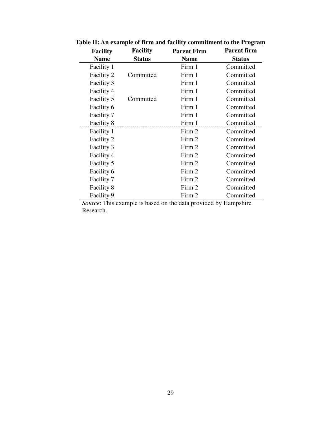| <b>Facility</b>                  | <b>Facility</b> | <b>Parent Firm</b>                              | <b>Parent firm</b>                       |
|----------------------------------|-----------------|-------------------------------------------------|------------------------------------------|
| <b>Name</b>                      | <b>Status</b>   | <b>Name</b>                                     | <b>Status</b>                            |
| Facility 1                       |                 | Firm 1                                          | Committed                                |
| Facility 2                       | Committed       | Firm 1                                          | Committed                                |
| <b>Facility 3</b>                |                 | Firm 1                                          | Committed                                |
| Facility 4                       |                 | Firm 1                                          | Committed                                |
| Facility 5                       | Committed       | Firm 1                                          | Committed                                |
| Facility 6                       |                 | Firm 1                                          | Committed                                |
| Facility 7                       |                 | Firm 1                                          | Committed                                |
| Facility 8                       | .               | Firm 1                                          | Committed                                |
| Facility 1                       |                 | Firm 2                                          | Committed                                |
| Facility 2                       |                 | Firm 2                                          | Committed                                |
| Facility 3                       |                 | Firm 2                                          | Committed                                |
| Facility 4                       |                 | Firm 2                                          | Committed                                |
| Facility 5                       |                 | Firm 2                                          | Committed                                |
| Facility 6                       |                 | Firm 2                                          | Committed                                |
| Facility 7                       |                 | Firm 2                                          | Committed                                |
| Facility 8                       |                 | Firm 2                                          | Committed                                |
| Facility 9<br>$\Omega$ .<br>T1.3 |                 | Firm 2<br>ويوس ولايا والملاحين الانتجاب المنافذ | Committed<br>1 de dels estableces en 191 |

**Table II: An example of firm and facility commitment to the Program** 

*Source*: This example is based on the data provided by Hampshire Research.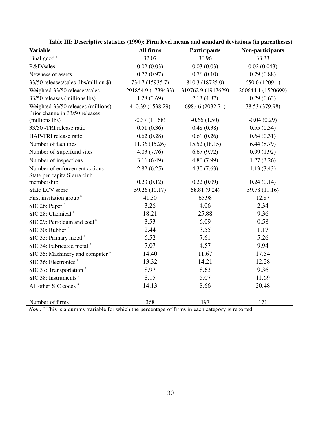| Table III. Descriptive statistics (1770). Firm fever incans and standard deviations (in parentheses)<br><b>Variable</b> | All firms          | <b>Participants</b> | Non-participants   |
|-------------------------------------------------------------------------------------------------------------------------|--------------------|---------------------|--------------------|
| Final good <sup>a</sup>                                                                                                 | 32.07              | 30.96               | 33.33              |
| R&D/sales                                                                                                               | 0.02(0.03)         | 0.03(0.03)          | 0.02(0.043)        |
| Newness of assets                                                                                                       | 0.77(0.97)         | 0.76(0.10)          | 0.79(0.88)         |
| 33/50 releases/sales (lbs/million \$)                                                                                   | 734.7 (15935.7)    | 810.3 (18725.0)     | 650.0 (1209.1)     |
| Weighted 33/50 releases/sales                                                                                           | 291854.9 (1739433) | 319762.9 (1917629)  | 260644.1 (1520699) |
| 33/50 releases (millions lbs)                                                                                           | 1.28(3.69)         | 2.13(4.87)          | 0.29(0.63)         |
| Weighted 33/50 releases (millions)                                                                                      | 410.39 (1538.29)   | 698.46 (2032.71)    | 78.53 (379.98)     |
| Prior change in 33/50 releases                                                                                          |                    |                     |                    |
| (millions lbs)                                                                                                          | $-0.37(1.168)$     | $-0.66(1.50)$       | $-0.04(0.29)$      |
| 33/50 -TRI release ratio                                                                                                | 0.51(0.36)         | 0.48(0.38)          | 0.55(0.34)         |
| HAP-TRI release ratio                                                                                                   | 0.62(0.28)         | 0.61(0.26)          | 0.64(0.31)         |
| Number of facilities                                                                                                    | 11.36 (15.26)      | 15.52(18.15)        | 6.44(8.79)         |
| Number of Superfund sites                                                                                               | 4.03(7.76)         | 6.67(9.72)          | 0.99(1.92)         |
| Number of inspections                                                                                                   | 3.16(6.49)         | 4.80 (7.99)         | 1.27(3.26)         |
| Number of enforcement actions                                                                                           | 2.82(6.25)         | 4.30(7.63)          | 1.13(3.43)         |
| State per capita Sierra club                                                                                            |                    |                     |                    |
| membership                                                                                                              | 0.23(0.12)         | 0.22(0.09)          | 0.24(0.14)         |
| <b>State LCV score</b>                                                                                                  | 59.26 (10.17)      | 58.81 (9.24)        | 59.78 (11.16)      |
| First invitation group <sup>a</sup>                                                                                     | 41.30              | 65.98               | 12.87              |
| SIC 26: Paper <sup>a</sup>                                                                                              | 3.26               | 4.06                | 2.34               |
| SIC 28: Chemical <sup>a</sup>                                                                                           | 18.21              | 25.88               | 9.36               |
| SIC 29: Petroleum and coal <sup>a</sup>                                                                                 | 3.53               | 6.09                | 0.58               |
| SIC 30: Rubber <sup>a</sup>                                                                                             | 2.44               | 3.55                | 1.17               |
| SIC 33: Primary metal <sup>a</sup>                                                                                      | 6.52               | 7.61                | 5.26               |
| SIC 34: Fabricated metal <sup>a</sup>                                                                                   | 7.07               | 4.57                | 9.94               |
| SIC 35: Machinery and computer <sup>a</sup>                                                                             | 14.40              | 11.67               | 17.54              |
| SIC 36: Electronics <sup>a</sup>                                                                                        | 13.32              | 14.21               | 12.28              |
| SIC 37: Transportation <sup>a</sup>                                                                                     | 8.97               | 8.63                | 9.36               |
| SIC 38: Instruments <sup>a</sup>                                                                                        | 8.15               | 5.07                | 11.69              |
| All other SIC codes <sup>a</sup>                                                                                        | 14.13              | 8.66                | 20.48              |
|                                                                                                                         |                    |                     |                    |
| Number of firms                                                                                                         | 368                | 197                 | 171                |

Note: <sup>a</sup> This is a dummy variable for which the percentage of firms in each category is reported.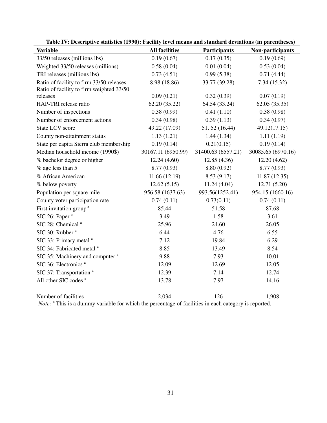| Table I & Descriptive statistics (1770). Facting tever incalls and standard deviations (in parentheses)<br><b>Variable</b> | <b>All facilities</b> | <b>Participants</b> | Non-participants   |
|----------------------------------------------------------------------------------------------------------------------------|-----------------------|---------------------|--------------------|
| 33/50 releases (millions lbs)                                                                                              | 0.19(0.67)            | 0.17(0.35)          | 0.19(0.69)         |
| Weighted 33/50 releases (millions)                                                                                         | 0.58(0.04)            | 0.01(0.04)          | 0.53(0.04)         |
| TRI releases (millions lbs)                                                                                                | 0.73(4.51)            | 0.99(5.38)          | 0.71(4.44)         |
| Ratio of facility to firm 33/50 releases                                                                                   | 8.98 (18.86)          | 33.77 (39.28)       | 7.34(15.32)        |
| Ratio of facility to firm weighted 33/50                                                                                   |                       |                     |                    |
| releases                                                                                                                   | 0.09(0.21)            | 0.32(0.39)          | 0.07(0.19)         |
| HAP-TRI release ratio                                                                                                      | 62.20 (35.22)         | 64.54 (33.24)       | 62.05(35.35)       |
| Number of inspections                                                                                                      | 0.38(0.99)            | 0.41(1.10)          | 0.38(0.98)         |
| Number of enforcement actions                                                                                              | 0.34(0.98)            | 0.39(1.13)          | 0.34(0.97)         |
| State LCV score                                                                                                            | 49.22 (17.09)         | 51.52 (16.44)       | 49.12(17.15)       |
| County non-attainment status                                                                                               | 1.13(1.21)            | 1.44(1.34)          | 1.11(1.19)         |
| State per capita Sierra club membership                                                                                    | 0.19(0.14)            | 0.21(0.15)          | 0.19(0.14)         |
| Median household income (1990\$)                                                                                           | 30167.11 (6950.99)    | 31400.63 (6557.21)  | 30085.65 (6970.16) |
| % bachelor degree or higher                                                                                                | 12.24(4.60)           | 12.85(4.36)         | 12.20(4.62)        |
| % age less than 5                                                                                                          | 8.77 (0.93)           | 8.80 (0.92)         | 8.77 (0.93)        |
| % African American                                                                                                         | 11.66 (12.19)         | 8.53(9.17)          | 11.87(12.35)       |
| % below poverty                                                                                                            | 12.62(5.15)           | 11.24(4.04)         | 12.71(5.20)        |
| Population per square mile                                                                                                 | 956.58 (1637.63)      | 993.56(1252.41)     | 954.15 (1660.16)   |
| County voter participation rate                                                                                            | 0.74(0.11)            | 0.73(0.11)          | 0.74(0.11)         |
| First invitation group <sup>a</sup>                                                                                        | 85.44                 | 51.58               | 87.68              |
| SIC 26: Paper <sup>a</sup>                                                                                                 | 3.49                  | 1.58                | 3.61               |
| SIC 28: Chemical <sup>a</sup>                                                                                              | 25.96                 | 24.60               | 26.05              |
| SIC 30: Rubber <sup>a</sup>                                                                                                | 6.44                  | 4.76                | 6.55               |
| SIC 33: Primary metal <sup>a</sup>                                                                                         | 7.12                  | 19.84               | 6.29               |
| SIC 34: Fabricated metal <sup>a</sup>                                                                                      | 8.85                  | 13.49               | 8.54               |
| SIC 35: Machinery and computer <sup>a</sup>                                                                                | 9.88                  | 7.93                | 10.01              |
| SIC 36: Electronics <sup>a</sup>                                                                                           | 12.09                 | 12.69               | 12.05              |
| SIC 37: Transportation <sup>a</sup>                                                                                        | 12.39                 | 7.14                | 12.74              |
| All other SIC codes <sup>a</sup>                                                                                           | 13.78                 | 7.97                | 14.16              |
|                                                                                                                            |                       |                     |                    |
| Number of facilities                                                                                                       | 2,034                 | 126                 | 1,908              |

|  | Table IV: Descriptive statistics (1990): Facility level means and standard deviations (in parentheses) |
|--|--------------------------------------------------------------------------------------------------------|
|--|--------------------------------------------------------------------------------------------------------|

Note: <sup>a</sup> This is a dummy variable for which the percentage of facilities in each category is reported.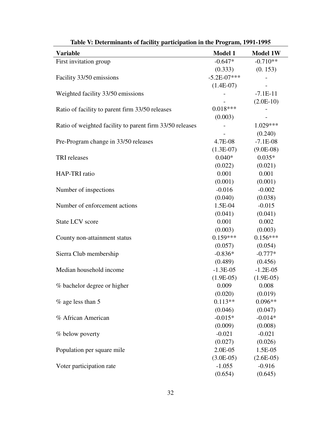| Table V: Determinants of facility participation in the Program, 1991-1995 |                 |                          |
|---------------------------------------------------------------------------|-----------------|--------------------------|
| <b>Variable</b>                                                           | <b>Model 1</b>  | Model 1W                 |
| First invitation group                                                    | $-0.647*$       | $-0.710**$               |
|                                                                           | (0.333)         | (0.153)                  |
| Facility 33/50 emissions                                                  | $-5.2E - 07***$ |                          |
|                                                                           | $(1.4E-07)$     |                          |
| Weighted facility 33/50 emissions                                         |                 | $-7.1E-11$               |
|                                                                           |                 | $(2.0E-10)$              |
| Ratio of facility to parent firm 33/50 releases                           | $0.018***$      |                          |
|                                                                           | (0.003)         | $\overline{\phantom{a}}$ |
| Ratio of weighted facility to parent firm 33/50 releases                  |                 | 1.029***                 |
|                                                                           |                 | (0.240)                  |
| Pre-Program change in 33/50 releases                                      | 4.7E-08         | $-7.1E-08$               |
|                                                                           | $(1.3E-07)$     | $(9.0E-08)$              |
| <b>TRI</b> releases                                                       | $0.040*$        | $0.035*$                 |
|                                                                           | (0.022)         | (0.021)                  |
| HAP-TRI ratio                                                             | 0.001           | 0.001                    |
|                                                                           | (0.001)         | (0.001)                  |
| Number of inspections                                                     | $-0.016$        | $-0.002$                 |
|                                                                           | (0.040)         | (0.038)                  |
| Number of enforcement actions                                             | $1.5E-04$       | $-0.015$                 |
|                                                                           | (0.041)         | (0.041)                  |
| <b>State LCV</b> score                                                    | 0.001           | 0.002                    |
|                                                                           | (0.003)         | (0.003)                  |
| County non-attainment status                                              | $0.159***$      | $0.156***$               |
|                                                                           | (0.057)         | (0.054)                  |
| Sierra Club membership                                                    | $-0.836*$       | $-0.777*$                |
|                                                                           | (0.489)         | (0.456)                  |
| Median household income                                                   | $-1.3E-0.5$     | $-1.2E-05$               |
|                                                                           | $(1.9E-05)$     | $(1.9E-05)$              |
| % bachelor degree or higher                                               | 0.009           | 0.008                    |
|                                                                           | (0.020)         | (0.019)                  |
| $%$ age less than 5                                                       | $0.113**$       | $0.096**$                |
|                                                                           | (0.046)         | (0.047)                  |
| % African American                                                        | $-0.015*$       | $-0.014*$                |
|                                                                           | (0.009)         | (0.008)                  |
| % below poverty                                                           | $-0.021$        | $-0.021$                 |
|                                                                           | (0.027)         | (0.026)                  |
| Population per square mile                                                | 2.0E-05         | 1.5E-05                  |
|                                                                           | $(3.0E-05)$     | $(2.6E-05)$              |
| Voter participation rate                                                  | $-1.055$        | $-0.916$                 |
|                                                                           | (0.654)         | (0.645)                  |

**Table V: Determinants of facility participation in the Program, 1991-1995**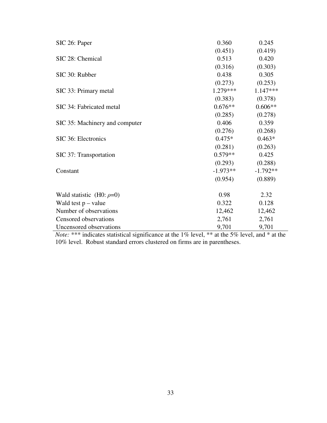| SIC 26: Paper                  | 0.360      | 0.245      |
|--------------------------------|------------|------------|
|                                | (0.451)    | (0.419)    |
| SIC 28: Chemical               | 0.513      | 0.420      |
|                                | (0.316)    | (0.303)    |
| SIC 30: Rubber                 | 0.438      | 0.305      |
|                                | (0.273)    | (0.253)    |
| SIC 33: Primary metal          | $1.279***$ | $1.147***$ |
|                                | (0.383)    | (0.378)    |
| SIC 34: Fabricated metal       | $0.676**$  | $0.606**$  |
|                                | (0.285)    | (0.278)    |
| SIC 35: Machinery and computer | 0.406      | 0.359      |
|                                | (0.276)    | (0.268)    |
| SIC 36: Electronics            | $0.475*$   | $0.463*$   |
|                                | (0.281)    | (0.263)    |
| SIC 37: Transportation         | $0.579**$  | 0.425      |
|                                | (0.293)    | (0.288)    |
| Constant                       | $-1.973**$ | $-1.792**$ |
|                                | (0.954)    | (0.889)    |
| Wald statistic (H0: $\rho=0$ ) | 0.98       | 2.32       |
| Wald test $p$ – value          | 0.322      | 0.128      |
| Number of observations         | 12,462     | 12,462     |
| Censored observations          | 2,761      | 2,761      |
| Uncensored observations        | 9,701      | 9,701      |

*Note:* \*\*\* indicates statistical significance at the 1% level, \*\* at the 5% level, and \* at the 10% level. Robust standard errors clustered on firms are in parentheses.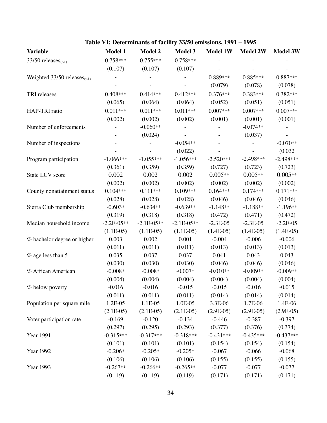| Variable                                   | <b>Model 1</b> | Model 2      | Model 3      | Model 1W    | <b>Model 2W</b> | Model 3W     |
|--------------------------------------------|----------------|--------------|--------------|-------------|-----------------|--------------|
| 33/50 releases $_{(t-1)}$                  | $0.758***$     | $0.755***$   | $0.758***$   |             |                 |              |
|                                            | (0.107)        | (0.107)      | (0.107)      |             |                 |              |
| Weighted $33/50$ releases <sub>(t-1)</sub> |                |              |              | 0.889***    | $0.885***$      | $0.887***$   |
|                                            |                |              |              | (0.079)     | (0.078)         | (0.078)      |
| TRI releases                               | $0.408***$     | $0.414***$   | $0.412***$   | $0.376***$  | $0.383***$      | $0.382***$   |
|                                            | (0.065)        | (0.064)      | (0.064)      | (0.052)     | (0.051)         | (0.051)      |
| HAP-TRI ratio                              | $0.011***$     | $0.011***$   | $0.011***$   | $0.007***$  | $0.007***$      | $0.007***$   |
|                                            | (0.002)        | (0.002)      | (0.002)      | (0.001)     | (0.001)         | (0.001)      |
| Number of enforcements                     |                | $-0.060**$   |              |             | $-0.074**$      |              |
|                                            |                | (0.024)      |              |             | (0.037)         |              |
| Number of inspections                      |                |              | $-0.054**$   |             |                 | $-0.070**$   |
|                                            |                |              | (0.022)      |             |                 | (0.032)      |
| Program participation                      | $-1.066***$    | $-1.055***$  | $-1.056***$  | $-2.520***$ | $-2.498***$     | $-2.498***$  |
|                                            | (0.361)        | (0.359)      | (0.359)      | (0.727)     | (0.723)         | (0.723)      |
| State LCV score                            | 0.002          | 0.002        | 0.002        | $0.005**$   | $0.005**$       | $0.005**$    |
|                                            | (0.002)        | (0.002)      | (0.002)      | (0.002)     | (0.002)         | (0.002)      |
| County nonattainment status                | $0.104***$     | $0.111***$   | $0.109***$   | $0.164***$  | $0.174***$      | $0.171***$   |
|                                            | (0.028)        | (0.028)      | (0.028)      | (0.046)     | (0.046)         | (0.046)      |
| Sierra Club membership                     | $-0.603*$      | $-0.634**$   | $-0.639**$   | $-1.148**$  | $-1.188**$      | $-1.196**$   |
|                                            | (0.319)        | (0.318)      | (0.318)      | (0.472)     | (0.471)         | (0.472)      |
| Median household income                    | $-2.2E - 05**$ | $-2.1E-05**$ | $-2.1E-05**$ | $-2.3E-05$  | $-2.3E-05$      | $-2.2E - 05$ |
|                                            | $(1.1E-05)$    | $(1.1E-05)$  | $(1.1E-05)$  | $(1.4E-05)$ | $(1.4E-05)$     | $(1.4E-05)$  |
| % bachelor degree or higher                | 0.003          | 0.002        | 0.001        | $-0.004$    | $-0.006$        | $-0.006$     |
|                                            | (0.011)        | (0.011)      | (0.011)      | (0.013)     | (0.013)         | (0.013)      |
| $%$ age less than 5                        | 0.035          | 0.037        | 0.037        | 0.041       | 0.043           | 0.043        |
|                                            | (0.030)        | (0.030)      | (0.030)      | (0.046)     | (0.046)         | (0.046)      |
| % African American                         | $-0.008*$      | $-0.008*$    | $-0.007*$    | $-0.010**$  | $-0.009**$      | $-0.009**$   |
|                                            | (0.004)        | (0.004)      | (0.004)      | (0.004)     | (0.004)         | (0.004)      |
| % below poverty                            | $-0.016$       | $-0.016$     | $-0.015$     | $-0.015$    | $-0.016$        | $-0.015$     |
|                                            | (0.011)        | (0.011)      | (0.011)      | (0.014)     | (0.014)         | (0.014)      |
| Population per square mile                 | 1.2E-05        | 1.1E-05      | 1.0E-05      | 3.3E-06     | 1.7E-06         | 1.4E-06      |
|                                            | $(2.1E-05)$    | $(2.1E-05)$  | $(2.1E-05)$  | $(2.9E-05)$ | $(2.9E-05)$     | $(2.9E-05)$  |
| Voter participation rate                   | $-0.169$       | $-0.120$     | $-0.134$     | $-0.446$    | $-0.387$        | $-0.397$     |
|                                            | (0.297)        | (0.295)      | (0.293)      | (0.377)     | (0.376)         | (0.374)      |
| Year 1991                                  | $-0.315***$    | $-0.317***$  | $-0.318***$  | $-0.431***$ | $-0.435***$     | $-0.437***$  |
|                                            | (0.101)        | (0.101)      | (0.101)      | (0.154)     | (0.154)         | (0.154)      |
| Year 1992                                  | $-0.206*$      | $-0.205*$    | $-0.205*$    | $-0.067$    | $-0.066$        | $-0.068$     |
|                                            | (0.106)        | (0.106)      | (0.106)      | (0.155)     | (0.155)         | (0.155)      |
| Year 1993                                  | $-0.267**$     | $-0.266**$   | $-0.265**$   | $-0.077$    | $-0.077$        | $-0.077$     |
|                                            | (0.119)        | (0.119)      | (0.119)      | (0.171)     | (0.171)         | (0.171)      |

**Table VI: Determinants of facility 33/50 emissions, 1991 – 1995**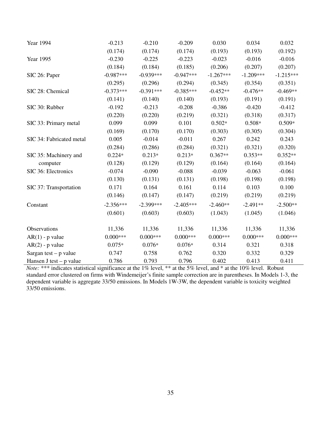| <b>Year 1994</b>          | $-0.213$    | $-0.210$    | $-0.209$    | 0.030       | 0.034       | 0.032       |
|---------------------------|-------------|-------------|-------------|-------------|-------------|-------------|
|                           | (0.174)     | (0.174)     | (0.174)     | (0.193)     | (0.193)     | (0.192)     |
| Year 1995                 | $-0.230$    | $-0.225$    | $-0.223$    | $-0.023$    | $-0.016$    | $-0.016$    |
|                           | (0.184)     | (0.184)     | (0.185)     | (0.206)     | (0.207)     | (0.207)     |
| SIC 26: Paper             | $-0.987***$ | $-0.939***$ | $-0.947***$ | $-1.267***$ | $-1.209***$ | $-1.215***$ |
|                           | (0.295)     | (0.296)     | (0.294)     | (0.345)     | (0.354)     | (0.351)     |
| SIC 28: Chemical          | $-0.373***$ | $-0.391***$ | $-0.385***$ | $-0.452**$  | $-0.476**$  | $-0.469**$  |
|                           | (0.141)     | (0.140)     | (0.140)     | (0.193)     | (0.191)     | (0.191)     |
| SIC 30: Rubber            | $-0.192$    | $-0.213$    | $-0.208$    | $-0.386$    | $-0.420$    | $-0.412$    |
|                           | (0.220)     | (0.220)     | (0.219)     | (0.321)     | (0.318)     | (0.317)     |
| SIC 33: Primary metal     | 0.099       | 0.099       | 0.101       | $0.502*$    | $0.508*$    | $0.509*$    |
|                           | (0.169)     | (0.170)     | (0.170)     | (0.303)     | (0.305)     | (0.304)     |
| SIC 34: Fabricated metal  | 0.005       | $-0.014$    | $-0.011$    | 0.267       | 0.242       | 0.243       |
|                           | (0.284)     | (0.286)     | (0.284)     | (0.321)     | (0.321)     | (0.320)     |
| SIC 35: Machinery and     | $0.224*$    | $0.213*$    | $0.213*$    | $0.367**$   | $0.353**$   | $0.352**$   |
| computer                  | (0.128)     | (0.129)     | (0.129)     | (0.164)     | (0.164)     | (0.164)     |
| SIC 36: Electronics       | $-0.074$    | $-0.090$    | $-0.088$    | $-0.039$    | $-0.063$    | $-0.061$    |
|                           | (0.130)     | (0.131)     | (0.131)     | (0.198)     | (0.198)     | (0.198)     |
| SIC 37: Transportation    | 0.171       | 0.164       | 0.161       | 0.114       | 0.103       | 0.100       |
|                           | (0.146)     | (0.147)     | (0.147)     | (0.219)     | (0.219)     | (0.219)     |
| Constant                  | $-2.356***$ | $-2.399***$ | $-2.405***$ | $-2.460**$  | $-2.491**$  | $-2.500**$  |
|                           | (0.601)     | (0.603)     | (0.603)     | (1.043)     | (1.045)     | (1.046)     |
| Observations              | 11,336      | 11,336      | 11,336      | 11,336      | 11,336      | 11,336      |
| $AR(1)$ - p value         | $0.000***$  | $0.000***$  | $0.000***$  | $0.000***$  | $0.000***$  | $0.000***$  |
| $AR(2)$ - p value         | $0.075*$    | $0.076*$    | $0.076*$    | 0.314       | 0.321       | 0.318       |
| Sargan test $-$ p value   | 0.747       | 0.758       | 0.762       | 0.320       | 0.332       | 0.329       |
| Hansen J test – $p$ value | 0.786       | 0.793       | 0.796       | 0.402       | 0.413       | 0.411       |

*Note:* \*\*\* indicates statistical significance at the 1% level, \*\* at the 5% level, and \* at the 10% level. Robust standard error clustered on firms with Windemeijer's finite sample correction are in parentheses. In Models 1-3, the dependent variable is aggregate 33/50 emissions. In Models 1W-3W, the dependent variable is toxicity weighted 33/50 emissions.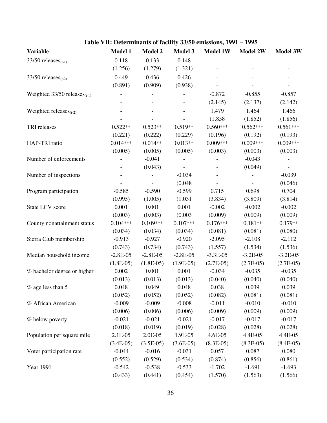| <b>Variable</b>                            | Model 1                  | Model 2                  | Model 3     | Model 1W    | Model 2W    | Model 3W    |
|--------------------------------------------|--------------------------|--------------------------|-------------|-------------|-------------|-------------|
| 33/50 releases $_{(t-1)}$                  | 0.118                    | 0.133                    | 0.148       |             |             |             |
|                                            | (1.256)                  | (1.279)                  | (1.321)     |             |             |             |
| 33/50 releases $_{(t-2)}$                  | 0.449                    | 0.436                    | 0.426       |             |             |             |
|                                            | (0.891)                  | (0.909)                  | (0.938)     |             |             |             |
| Weighted $33/50$ releases <sub>(t-1)</sub> |                          |                          |             | $-0.872$    | $-0.855$    | $-0.857$    |
|                                            |                          |                          |             | (2.145)     | (2.137)     | (2.142)     |
| Weighted releases $_{(t-2)}$               |                          |                          |             | 1.479       | 1.464       | 1.466       |
|                                            |                          |                          |             | (1.858)     | (1.852)     | (1.856)     |
| TRI releases                               | $0.522**$                | $0.523**$                | $0.519**$   | $0.560***$  | $0.562***$  | $0.561***$  |
|                                            | (0.221)                  | (0.222)                  | (0.229)     | (0.196)     | (0.192)     | (0.193)     |
| HAP-TRI ratio                              | $0.014***$               | $0.014**$                | $0.013**$   | $0.009***$  | $0.009***$  | $0.009***$  |
|                                            | (0.005)                  | (0.005)                  | (0.005)     | (0.003)     | (0.003)     | (0.003)     |
| Number of enforcements                     |                          | $-0.041$                 |             |             | $-0.043$    |             |
|                                            | $\overline{\phantom{a}}$ | (0.043)                  |             |             | (0.049)     |             |
| Number of inspections                      |                          | $\overline{\phantom{a}}$ | $-0.034$    |             |             | $-0.039$    |
|                                            |                          |                          | (0.048)     |             |             | (0.046)     |
| Program participation                      | $-0.585$                 | $-0.590$                 | $-0.599$    | 0.715       | 0.698       | 0.704       |
|                                            | (0.995)                  | (1.005)                  | (1.031)     | (3.834)     | (3.809)     | (3.814)     |
| State LCV score                            | 0.001                    | 0.001                    | 0.001       | $-0.002$    | $-0.002$    | $-0.002$    |
|                                            | (0.003)                  | (0.003)                  | (0.003)     | (0.009)     | (0.009)     | (0.009)     |
| County nonattainment status                | $0.104***$               | $0.109***$               | $0.107***$  | $0.176***$  | $0.181**$   | $0.179**$   |
|                                            | (0.034)                  | (0.034)                  | (0.034)     | (0.081)     | (0.081)     | (0.080)     |
| Sierra Club membership                     | $-0.913$                 | $-0.927$                 | $-0.920$    | $-2.095$    | $-2.108$    | $-2.112$    |
|                                            | (0.743)                  | (0.734)                  | (0.743)     | (1.557)     | (1.534)     | (1.536)     |
| Median household income                    | $-2.8E-05$               | $-2.8E-05$               | $-2.8E-05$  | $-3.3E-05$  | $-3.2E-05$  | $-3.2E-05$  |
|                                            | $(1.8E-05)$              | $(1.8E-05)$              | $(1.9E-05)$ | $(2.7E-05)$ | $(2.7E-05)$ | $(2.7E-05)$ |
| % bachelor degree or higher                | 0.002                    | 0.001                    | 0.001       | $-0.034$    | $-0.035$    | $-0.035$    |
|                                            | (0.013)                  | (0.013)                  | (0.013)     | (0.040)     | (0.040)     | (0.040)     |
| % age less than 5                          | 0.048                    | 0.049                    | 0.048       | 0.038       | 0.039       | 0.039       |
|                                            | (0.052)                  | (0.052)                  | (0.052)     | (0.082)     | (0.081)     | (0.081)     |
| % African American                         | $-0.009$                 | $-0.009$                 | $-0.008$    | $-0.011$    | $-0.010$    | $-0.010$    |
|                                            | (0.006)                  | (0.006)                  | (0.006)     | (0.009)     | (0.009)     | (0.009)     |
| % below poverty                            | $-0.021$                 | $-0.021$                 | $-0.021$    | $-0.017$    | $-0.017$    | $-0.017$    |
|                                            | (0.018)                  | (0.019)                  | (0.019)     | (0.028)     | (0.028)     | (0.028)     |
| Population per square mile                 | 2.1E-05                  | 2.0E-05                  | 1.9E-05     | 4.6E-05     | 4.4E-05     | 4.4E-05     |
|                                            | $(3.4E-05)$              | $(3.5E-05)$              | $(3.6E-05)$ | $(8.3E-05)$ | $(8.3E-05)$ | $(8.4E-05)$ |
| Voter participation rate                   | $-0.044$                 | $-0.016$                 | $-0.031$    | 0.057       | 0.087       | 0.080       |
|                                            | (0.552)                  | (0.529)                  | (0.534)     | (0.874)     | (0.856)     | (0.861)     |
| Year 1991                                  | $-0.542$                 | $-0.538$                 | $-0.533$    | $-1.702$    | $-1.691$    | $-1.693$    |
|                                            | (0.433)                  | (0.441)                  | (0.454)     | (1.570)     | (1.563)     | (1.566)     |

T**able VII: Determinants of facility 33/50 emissions, 1991 – 1995**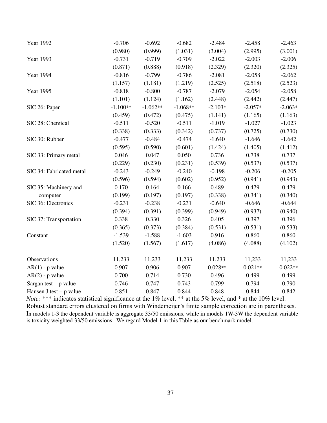| <b>Year 1992</b>          | $-0.706$   | $-0.692$   | $-0.682$   | $-2.484$  | $-2.458$  | $-2.463$  |
|---------------------------|------------|------------|------------|-----------|-----------|-----------|
|                           | (0.980)    | (0.999)    | (1.031)    | (3.004)   | (2.995)   | (3.001)   |
| Year 1993                 | $-0.731$   | $-0.719$   | $-0.709$   | $-2.022$  | $-2.003$  | $-2.006$  |
|                           | (0.871)    | (0.888)    | (0.918)    | (2.329)   | (2.320)   | (2.325)   |
| <b>Year 1994</b>          | $-0.816$   | $-0.799$   | $-0.786$   | $-2.081$  | $-2.058$  | $-2.062$  |
|                           | (1.157)    | (1.181)    | (1.219)    | (2.525)   | (2.518)   | (2.523)   |
| <b>Year 1995</b>          | $-0.818$   | $-0.800$   | $-0.787$   | $-2.079$  | $-2.054$  | $-2.058$  |
|                           | (1.101)    | (1.124)    | (1.162)    | (2.448)   | (2.442)   | (2.447)   |
| SIC 26: Paper             | $-1.100**$ | $-1.062**$ | $-1.068**$ | $-2.103*$ | $-2.057*$ | $-2.063*$ |
|                           | (0.459)    | (0.472)    | (0.475)    | (1.141)   | (1.165)   | (1.163)   |
| SIC 28: Chemical          | $-0.511$   | $-0.520$   | $-0.511$   | $-1.019$  | $-1.027$  | $-1.023$  |
|                           | (0.338)    | (0.333)    | (0.342)    | (0.737)   | (0.725)   | (0.730)   |
| SIC 30: Rubber            | $-0.477$   | $-0.484$   | $-0.474$   | $-1.640$  | $-1.646$  | $-1.642$  |
|                           | (0.595)    | (0.590)    | (0.601)    | (1.424)   | (1.405)   | (1.412)   |
| SIC 33: Primary metal     | 0.046      | 0.047      | 0.050      | 0.736     | 0.738     | 0.737     |
|                           | (0.229)    | (0.230)    | (0.231)    | (0.539)   | (0.537)   | (0.537)   |
| SIC 34: Fabricated metal  | $-0.243$   | $-0.249$   | $-0.240$   | $-0.198$  | $-0.206$  | $-0.205$  |
|                           | (0.596)    | (0.594)    | (0.602)    | (0.952)   | (0.941)   | (0.943)   |
| SIC 35: Machinery and     | 0.170      | 0.164      | 0.166      | 0.489     | 0.479     | 0.479     |
| computer                  | (0.199)    | (0.197)    | (0.197)    | (0.338)   | (0.341)   | (0.340)   |
| SIC 36: Electronics       | $-0.231$   | $-0.238$   | $-0.231$   | $-0.640$  | $-0.646$  | $-0.644$  |
|                           | (0.394)    | (0.391)    | (0.399)    | (0.949)   | (0.937)   | (0.940)   |
| SIC 37: Transportation    | 0.338      | 0.330      | 0.326      | 0.405     | 0.397     | 0.396     |
|                           | (0.365)    | (0.373)    | (0.384)    | (0.531)   | (0.531)   | (0.533)   |
| Constant                  | $-1.539$   | $-1.588$   | $-1.603$   | 0.916     | 0.860     | 0.860     |
|                           | (1.520)    | (1.567)    | (1.617)    | (4.086)   | (4.088)   | (4.102)   |
| Observations              | 11,233     | 11,233     | 11,233     | 11,233    | 11,233    | 11,233    |
| $AR(1)$ - p value         | 0.907      | 0.906      | 0.907      | $0.028**$ | $0.021**$ | $0.022**$ |
| $AR(2)$ - p value         | 0.700      | 0.714      | 0.730      | 0.496     | 0.499     | 0.499     |
| Sargan test $-p$ value    | 0.746      | 0.747      | 0.743      | 0.799     | 0.794     | 0.790     |
| Hansen J test $-$ p value | 0.851      | 0.847      | 0.844      | 0.848     | 0.844     | 0.842     |

*Note:* \*\*\* indicates statistical significance at the 1% level, \*\* at the 5% level, and \* at the 10% level. Robust standard errors clustered on firms with Windemeijer's finite sample correction are in parentheses. In models 1-3 the dependent variable is aggregate 33/50 emissions, while in models 1W-3W the dependent variable is toxicity weighted 33/50 emissions. We regard Model 1 in this Table as our benchmark model.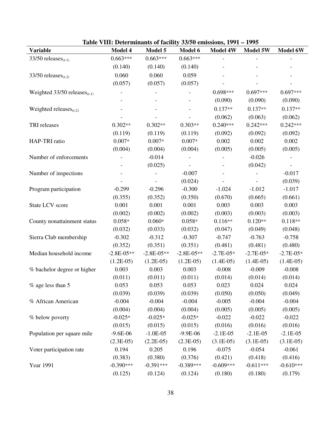| <b>Variable</b>                            | 10010 + 111; Determinants of Rechity <i>Oolo</i> 's chilishons, 1991<br>Model 4 | Model 5      | <b>Model 6</b>           | <b>Model 4W</b>              | Model 5W                 | Model 6W    |
|--------------------------------------------|---------------------------------------------------------------------------------|--------------|--------------------------|------------------------------|--------------------------|-------------|
| 33/50 releases $_{(t-1)}$                  | $0.663***$                                                                      | $0.663***$   | $0.663***$               |                              |                          |             |
|                                            | (0.140)                                                                         | (0.140)      | (0.140)                  |                              |                          |             |
|                                            | 0.060                                                                           | 0.060        | 0.059                    |                              |                          |             |
| 33/50 releases $_{(t-2)}$                  |                                                                                 |              |                          |                              |                          |             |
|                                            | (0.057)                                                                         | (0.057)      | (0.057)                  |                              |                          |             |
| Weighted $33/50$ releases <sub>(t-1)</sub> |                                                                                 |              |                          | $0.698***$                   | $0.697***$               | $0.697***$  |
|                                            |                                                                                 |              |                          | (0.090)                      | (0.090)                  | (0.090)     |
| Weighted releases $_{(t-2)}$               |                                                                                 |              | $\overline{\phantom{a}}$ | $0.137**$                    | $0.137**$                | $0.137**$   |
|                                            |                                                                                 |              |                          | (0.062)                      | (0.063)                  | (0.062)     |
| TRI releases                               | $0.302**$                                                                       | $0.302**$    | $0.303**$                | $0.240***$                   | $0.242***$               | $0.242***$  |
|                                            | (0.119)                                                                         | (0.119)      | (0.119)                  | (0.092)                      | (0.092)                  | (0.092)     |
| HAP-TRI ratio                              | $0.007*$                                                                        | $0.007*$     | $0.007*$                 | 0.002                        | 0.002                    | 0.002       |
|                                            | (0.004)                                                                         | (0.004)      | (0.004)                  | (0.005)                      | (0.005)                  | (0.005)     |
| Number of enforcements                     |                                                                                 | $-0.014$     | $\overline{\phantom{a}}$ | $\qquad \qquad \blacksquare$ | $-0.026$                 |             |
|                                            | $\overline{\phantom{a}}$                                                        | (0.025)      |                          | $\overline{\phantom{a}}$     | (0.042)                  |             |
| Number of inspections                      |                                                                                 |              | $-0.007$                 |                              | $\overline{\phantom{a}}$ | $-0.017$    |
|                                            |                                                                                 |              | (0.024)                  |                              |                          | (0.039)     |
| Program participation                      | $-0.299$                                                                        | $-0.296$     | $-0.300$                 | $-1.024$                     | $-1.012$                 | $-1.017$    |
|                                            | (0.355)                                                                         | (0.352)      | (0.350)                  | (0.670)                      | (0.665)                  | (0.661)     |
| State LCV score                            | 0.001                                                                           | 0.001        | 0.001                    | 0.003                        | 0.003                    | 0.003       |
|                                            | (0.002)                                                                         | (0.002)      | (0.002)                  | (0.003)                      | (0.003)                  | (0.003)     |
| County nonattainment status                | $0.058*$                                                                        | $0.060*$     | $0.058*$                 | $0.116**$                    | $0.120**$                | $0.118**$   |
|                                            | (0.032)                                                                         | (0.033)      | (0.032)                  | (0.047)                      | (0.049)                  | (0.048)     |
| Sierra Club membership                     | $-0.302$                                                                        | $-0.312$     | $-0.307$                 | $-0.747$                     | $-0.763$                 | $-0.758$    |
|                                            | (0.352)                                                                         | (0.351)      | (0.351)                  | (0.481)                      | (0.481)                  | (0.480)     |
| Median household income                    | $-2.8E-05**$                                                                    | $-2.8E-05**$ | $-2.8E-05**$             | $-2.7E-05*$                  | $-2.7E-05*$              | $-2.7E-05*$ |
|                                            | $(1.2E-05)$                                                                     | $(1.2E-05)$  | $(1.2E-05)$              | $(1.4E-05)$                  | $(1.4E-05)$              | $(1.4E-05)$ |
| % bachelor degree or higher                | 0.003                                                                           | 0.003        | 0.003                    | $-0.008$                     | $-0.009$                 | $-0.008$    |
|                                            | (0.011)                                                                         | (0.011)      | (0.011)                  | (0.014)                      | (0.014)                  | (0.014)     |
| $%$ age less than 5                        | 0.053                                                                           | 0.053        | 0.053                    | 0.023                        | 0.024                    | 0.024       |
|                                            | (0.039)                                                                         | (0.039)      | (0.039)                  | (0.050)                      | (0.050)                  | (0.049)     |
| % African American                         | $-0.004$                                                                        | $-0.004$     | $-0.004$                 | $-0.005$                     | $-0.004$                 | $-0.004$    |
|                                            | (0.004)                                                                         | (0.004)      | (0.004)                  | (0.005)                      | (0.005)                  | (0.005)     |
| % below poverty                            | $-0.025*$                                                                       | $-0.025*$    | $-0.025*$                | $-0.022$                     | $-0.022$                 | $-0.022$    |
|                                            | (0.015)                                                                         | (0.015)      | (0.015)                  | (0.016)                      | (0.016)                  | (0.016)     |
| Population per square mile                 | $-9.6E - 06$                                                                    | $-1.0E-05$   | $-9.9E-06$               | $-2.1E-05$                   | $-2.1E-05$               | $-2.1E-05$  |
|                                            | $(2.3E-05)$                                                                     | $(2.2E-05)$  | $(2.3E-05)$              | $(3.1E-05)$                  | $(3.1E-05)$              | $(3.1E-05)$ |
| Voter participation rate                   | 0.194                                                                           | 0.205        | 0.196                    | $-0.075$                     | $-0.054$                 | $-0.061$    |
|                                            | (0.383)                                                                         | (0.380)      | (0.376)                  | (0.421)                      | (0.418)                  | (0.416)     |
| Year 1991                                  | $-0.390***$                                                                     | $-0.391***$  | $-0.389***$              | $-0.609***$                  | $-0.611***$              | $-0.610***$ |
|                                            | (0.125)                                                                         | (0.124)      | (0.124)                  | (0.180)                      | (0.180)                  | (0.179)     |

| Table VIII: Determinants of facility 33/50 emissions, 1991 – 1995 |  |  |
|-------------------------------------------------------------------|--|--|
|-------------------------------------------------------------------|--|--|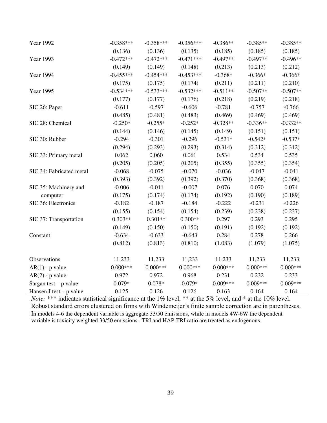| Year 1992                 | $-0.358***$ | $-0.358***$ | $-0.356***$ | $-0.386**$ | $-0.385**$ | $-0.385**$ |
|---------------------------|-------------|-------------|-------------|------------|------------|------------|
|                           | (0.136)     | (0.136)     | (0.135)     | (0.185)    | (0.185)    | (0.185)    |
| Year 1993                 | $-0.472***$ | $-0.472***$ | $-0.471***$ | $-0.497**$ | $-0.497**$ | $-0.496**$ |
|                           | (0.149)     | (0.149)     | (0.148)     | (0.213)    | (0.213)    | (0.212)    |
| Year 1994                 | $-0.455***$ | $-0.454***$ | $-0.453***$ | $-0.368*$  | $-0.366*$  | $-0.366*$  |
|                           | (0.175)     | (0.175)     | (0.174)     | (0.211)    | (0.211)    | (0.210)    |
| Year 1995                 | $-0.534***$ | $-0.533***$ | $-0.532***$ | $-0.511**$ | $-0.507**$ | $-0.507**$ |
|                           | (0.177)     | (0.177)     | (0.176)     | (0.218)    | (0.219)    | (0.218)    |
| SIC 26: Paper             | $-0.611$    | $-0.597$    | $-0.606$    | $-0.781$   | $-0.757$   | $-0.766$   |
|                           | (0.485)     | (0.481)     | (0.483)     | (0.469)    | (0.469)    | (0.469)    |
| SIC 28: Chemical          | $-0.250*$   | $-0.255*$   | $-0.252*$   | $-0.328**$ | $-0.336**$ | $-0.332**$ |
|                           | (0.144)     | (0.146)     | (0.145)     | (0.149)    | (0.151)    | (0.151)    |
| SIC 30: Rubber            | $-0.294$    | $-0.301$    | $-0.296$    | $-0.531*$  | $-0.542*$  | $-0.537*$  |
|                           | (0.294)     | (0.293)     | (0.293)     | (0.314)    | (0.312)    | (0.312)    |
| SIC 33: Primary metal     | 0.062       | 0.060       | 0.061       | 0.534      | 0.534      | 0.535      |
|                           | (0.205)     | (0.205)     | (0.205)     | (0.355)    | (0.355)    | (0.354)    |
| SIC 34: Fabricated metal  | $-0.068$    | $-0.075$    | $-0.070$    | $-0.036$   | $-0.047$   | $-0.041$   |
|                           | (0.393)     | (0.392)     | (0.392)     | (0.370)    | (0.368)    | (0.368)    |
| SIC 35: Machinery and     | $-0.006$    | $-0.011$    | $-0.007$    | 0.076      | 0.070      | 0.074      |
| computer                  | (0.175)     | (0.174)     | (0.174)     | (0.192)    | (0.190)    | (0.189)    |
| SIC 36: Electronics       | $-0.182$    | $-0.187$    | $-0.184$    | $-0.222$   | $-0.231$   | $-0.226$   |
|                           | (0.155)     | (0.154)     | (0.154)     | (0.239)    | (0.238)    | (0.237)    |
| SIC 37: Transportation    | $0.303**$   | $0.301**$   | $0.300**$   | 0.297      | 0.293      | 0.295      |
|                           | (0.149)     | (0.150)     | (0.150)     | (0.191)    | (0.192)    | (0.192)    |
| Constant                  | $-0.634$    | $-0.633$    | $-0.643$    | 0.284      | 0.278      | 0.266      |
|                           | (0.812)     | (0.813)     | (0.810)     | (1.083)    | (1.079)    | (1.075)    |
| Observations              | 11,233      | 11,233      | 11,233      | 11,233     | 11,233     | 11,233     |
| $AR(1)$ - p value         | $0.000***$  | $0.000***$  | $0.000***$  | $0.000***$ | $0.000***$ | $0.000***$ |
| $AR(2)$ - p value         | 0.972       | 0.972       | 0.968       | 0.231      | 0.232      | 0.233      |
| Sargan test $-$ p value   | $0.079*$    | $0.078*$    | $0.079*$    | $0.009***$ | $0.009***$ | $0.009***$ |
| Hansen J test – $p$ value | 0.125       | 0.126       | 0.126       | 0.163      | 0.164      | 0.164      |

*Note:* \*\*\* indicates statistical significance at the 1% level, \*\* at the 5% level, and \* at the 10% level. Robust standard errors clustered on firms with Windemeijer's finite sample correction are in parentheses. In models 4-6 the dependent variable is aggregate 33/50 emissions, while in models 4W-6W the dependent variable is toxicity weighted 33/50 emissions. TRI and HAP-TRI ratio are treated as endogenous.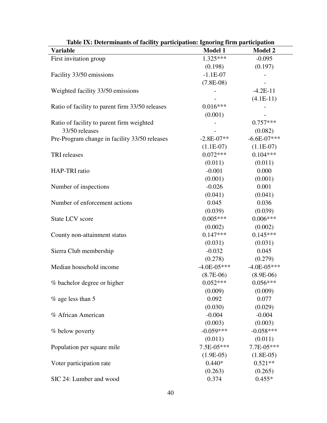| Table IX: Determinants of facility participation: Ignoring firm participation |                 |                 |
|-------------------------------------------------------------------------------|-----------------|-----------------|
| <b>Variable</b>                                                               | <b>Model 1</b>  | <b>Model 2</b>  |
| First invitation group                                                        | $1.325***$      | $-0.095$        |
|                                                                               | (0.198)         | (0.197)         |
| Facility 33/50 emissions                                                      | $-1.1E-07$      |                 |
|                                                                               | $(7.8E-08)$     |                 |
| Weighted facility 33/50 emissions                                             |                 | $-4.2E-11$      |
|                                                                               |                 | $(4.1E-11)$     |
| Ratio of facility to parent firm 33/50 releases                               | $0.016***$      |                 |
|                                                                               | (0.001)         |                 |
| Ratio of facility to parent firm weighted                                     |                 | $0.757***$      |
| 33/50 releases                                                                |                 | (0.082)         |
| Pre-Program change in facility 33/50 releases                                 | $-2.8E - 07**$  | $-6.6E-07***$   |
|                                                                               | $(1.1E-07)$     | $(1.1E-07)$     |
| <b>TRI</b> releases                                                           | $0.072***$      | $0.104***$      |
|                                                                               | (0.011)         | (0.011)         |
| HAP-TRI ratio                                                                 | $-0.001$        | 0.000           |
|                                                                               | (0.001)         | (0.001)         |
| Number of inspections                                                         | $-0.026$        | 0.001           |
|                                                                               | (0.041)         | (0.041)         |
| Number of enforcement actions                                                 | 0.045           | 0.036           |
|                                                                               | (0.039)         | (0.039)         |
| State LCV score                                                               | $0.005***$      | $0.006***$      |
|                                                                               | (0.002)         | (0.002)         |
| County non-attainment status                                                  | $0.147***$      | $0.145***$      |
|                                                                               | (0.031)         | (0.031)         |
| Sierra Club membership                                                        | $-0.032$        | 0.045           |
|                                                                               | (0.278)         | (0.279)         |
| Median household income                                                       | $-4.0E - 05***$ | $-4.0E - 05***$ |
|                                                                               | $(8.7E-06)$     | $(8.9E-06)$     |
| % bachelor degree or higher                                                   | $0.052***$      | $0.056***$      |
|                                                                               | (0.009)         | (0.009)         |
| $%$ age less than 5                                                           | 0.092           | 0.077           |
|                                                                               | (0.030)         | (0.029)         |
| % African American                                                            | $-0.004$        | $-0.004$        |
|                                                                               | (0.003)         | (0.003)         |
| % below poverty                                                               | $-0.059***$     | $-0.058***$     |
|                                                                               | (0.011)         | (0.011)         |
| Population per square mile                                                    | $7.5E-05***$    | 7.7E-05***      |
|                                                                               | $(1.9E-05)$     | $(1.8E-05)$     |
| Voter participation rate                                                      | $0.440*$        | $0.521**$       |
|                                                                               | (0.263)         | (0.265)         |
| SIC 24: Lumber and wood                                                       | 0.374           | $0.455*$        |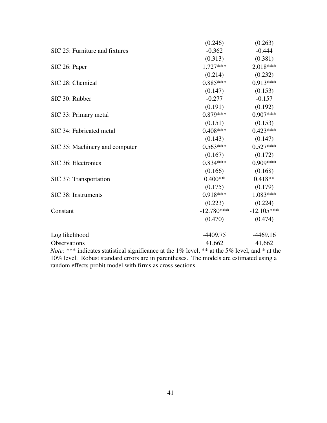|                                | (0.246)      | (0.263)      |
|--------------------------------|--------------|--------------|
| SIC 25: Furniture and fixtures | $-0.362$     | $-0.444$     |
|                                | (0.313)      | (0.381)      |
| SIC 26: Paper                  | $1.727***$   | 2.018***     |
|                                | (0.214)      | (0.232)      |
| SIC 28: Chemical               | $0.885***$   | $0.913***$   |
|                                | (0.147)      | (0.153)      |
| SIC 30: Rubber                 | $-0.277$     | $-0.157$     |
|                                | (0.191)      | (0.192)      |
| SIC 33: Primary metal          | $0.879***$   | $0.907***$   |
|                                | (0.151)      | (0.153)      |
| SIC 34: Fabricated metal       | $0.408***$   | $0.423***$   |
|                                | (0.143)      | (0.147)      |
| SIC 35: Machinery and computer | $0.563***$   | $0.527***$   |
|                                | (0.167)      | (0.172)      |
| SIC 36: Electronics            | $0.834***$   | $0.909***$   |
|                                | (0.166)      | (0.168)      |
| SIC 37: Transportation         | $0.400**$    | $0.418**$    |
|                                | (0.175)      | (0.179)      |
| SIC 38: Instruments            | $0.918***$   | $1.083***$   |
|                                | (0.223)      | (0.224)      |
| Constant                       | $-12.780***$ | $-12.105***$ |
|                                | (0.470)      | (0.474)      |
| Log likelihood                 | $-4409.75$   | $-4469.16$   |
| Observations                   | 41,662       | 41,662       |

*Note:* \*\*\* indicates statistical significance at the 1% level, \*\* at the 5% level, and \* at the 10% level. Robust standard errors are in parentheses. The models are estimated using a random effects probit model with firms as cross sections.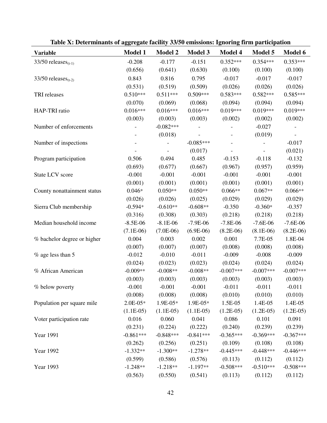| <b>Variable</b>             | <b>Model 1</b> | <b>Model 2</b> | <b>Model 3</b>           | Model 4        | Model 5     | Model 6                  |
|-----------------------------|----------------|----------------|--------------------------|----------------|-------------|--------------------------|
| 33/50 releases $s_{(t-1)}$  | $-0.208$       | $-0.177$       | $-0.151$                 | $0.352***$     | $0.354***$  | $0.353***$               |
|                             | (0.656)        | (0.641)        | (0.630)                  | (0.100)        | (0.100)     | (0.100)                  |
| 33/50 releases $s_{(t-2)}$  | 0.843          | 0.816          | 0.795                    | $-0.017$       | $-0.017$    | $-0.017$                 |
|                             | (0.531)        | (0.519)        | (0.509)                  | (0.026)        | (0.026)     | (0.026)                  |
| TRI releases                | $0.510***$     | $0.511***$     | $0.509***$               | $0.583***$     | $0.582***$  | $0.585***$               |
|                             | (0.070)        | (0.069)        | (0.068)                  | (0.094)        | (0.094)     | (0.094)                  |
| HAP-TRI ratio               | $0.016***$     | $0.016***$     | $0.016***$               | $0.019***$     | 0.019***    | $0.019***$               |
|                             | (0.003)        | (0.003)        | (0.003)                  | (0.002)        | (0.002)     | (0.002)                  |
| Number of enforcements      |                | $-0.082***$    |                          |                | $-0.027$    |                          |
|                             |                | (0.018)        | $\overline{\phantom{a}}$ |                | (0.019)     | $\overline{\phantom{a}}$ |
| Number of inspections       |                |                | $-0.085***$              |                |             | $-0.017$                 |
|                             |                |                | (0.017)                  | $\blacksquare$ |             | (0.021)                  |
| Program participation       | 0.506          | 0.494          | 0.485                    | $-0.153$       | $-0.118$    | $-0.132$                 |
|                             | (0.693)        | (0.677)        | (0.667)                  | (0.967)        | (0.957)     | (0.959)                  |
| State LCV score             | $-0.001$       | $-0.001$       | $-0.001$                 | $-0.001$       | $-0.001$    | $-0.001$                 |
|                             | (0.001)        | (0.001)        | (0.001)                  | (0.001)        | (0.001)     | (0.001)                  |
| County nonattainment status | $0.046*$       | $0.050**$      | $0.050**$                | $0.066**$      | $0.067**$   | $0.066**$                |
|                             | (0.026)        | (0.026)        | (0.025)                  | (0.029)        | (0.029)     | (0.029)                  |
| Sierra Club membership      | $-0.594*$      | $-0.610**$     | $-0.608**$               | $-0.350$       | $-0.360*$   | $-0.357$                 |
|                             | (0.316)        | (0.308)        | (0.303)                  | (0.218)        | (0.218)     | (0.218)                  |
| Median household income     | $-8.5E-06$     | $-8.1E-06$     | $-7.9E-06$               | $-7.8E-06$     | $-7.6E-06$  | $-7.6E-06$               |
|                             | $(7.1E-06)$    | $(7.0E-06)$    | $(6.9E-06)$              | $(8.2E-06)$    | $(8.1E-06)$ | $(8.2E-06)$              |
| % bachelor degree or higher | 0.004          | 0.003          | 0.002                    | 0.001          | 7.7E-05     | 1.8E-04                  |
|                             | (0.007)        | (0.007)        | (0.007)                  | (0.008)        | (0.008)     | (0.008)                  |
| $%$ age less than 5         | $-0.012$       | $-0.010$       | $-0.011$                 | $-0.009$       | $-0.008$    | $-0.009$                 |
|                             | (0.024)        | (0.023)        | (0.023)                  | (0.024)        | (0.024)     | (0.024)                  |
| % African American          | $-0.009**$     | $-0.008**$     | $-0.008**$               | $-0.007***$    | $-0.007***$ | $-0.007***$              |
|                             | (0.003)        | (0.003)        | (0.003)                  | (0.003)        | (0.003)     | (0.003)                  |
| % below poverty             | $-0.001$       | $-0.001$       | $-0.001$                 | $-0.011$       | $-0.011$    | $-0.011$                 |
|                             | (0.008)        | (0.008)        | (0.008)                  | (0.010)        | (0.010)     | (0.010)                  |
| Population per square mile  | $2.0E-05*$     | $1.9E-05*$     | $1.9E-05*$               | 1.5E-05        | 1.4E-05     | 1.4E-05                  |
|                             | $(1.1E-05)$    | $(1.1E-05)$    | $(1.1E-05)$              | $(1.2E-05)$    | $(1.2E-05)$ | $(1.2E-05)$              |
| Voter participation rate    | 0.016          | 0.060          | 0.041                    | 0.086          | 0.101       | 0.091                    |
|                             | (0.231)        | (0.224)        | (0.222)                  | (0.240)        | (0.239)     | (0.239)                  |
| Year 1991                   | $-0.861***$    | $-0.848***$    | $-0.841***$              | $-0.365***$    | $-0.369***$ | $-0.367***$              |
|                             | (0.262)        | (0.256)        | (0.251)                  | (0.109)        | (0.108)     | (0.108)                  |
| <b>Year 1992</b>            | $-1.332**$     | $-1.300**$     | $-1.278**$               | $-0.445***$    | $-0.448***$ | $-0.446***$              |
|                             | (0.599)        | (0.586)        | (0.576)                  | (0.113)        | (0.112)     | (0.112)                  |
| Year 1993                   | $-1.248**$     | $-1.218**$     | $-1.197**$               | $-0.508***$    | $-0.510***$ | $-0.508***$              |
|                             | (0.563)        | (0.550)        | (0.541)                  | (0.113)        | (0.112)     | (0.112)                  |

**Table X: Determinants of aggregate facility 33/50 emissions: Ignoring firm participation**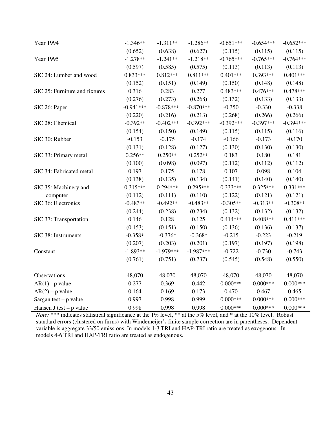| <b>Year 1994</b>               | $-1.346**$  | $-1.311**$  | $-1.286**$  | $-0.651***$ | $-0.654***$ | $-0.652***$ |
|--------------------------------|-------------|-------------|-------------|-------------|-------------|-------------|
|                                | (0.652)     | (0.638)     | (0.627)     | (0.115)     | (0.115)     | (0.115)     |
| Year 1995                      | $-1.278**$  | $-1.241**$  | $-1.218**$  | $-0.765***$ | $-0.765***$ | $-0.764***$ |
|                                | (0.597)     | (0.585)     | (0.575)     | (0.113)     | (0.113)     | (0.113)     |
| SIC 24: Lumber and wood        | $0.833***$  | $0.812***$  | 0.811***    | $0.401***$  | 0.393***    | $0.401***$  |
|                                | (0.152)     | (0.151)     | (0.149)     | (0.150)     | (0.148)     | (0.148)     |
| SIC 25: Furniture and fixtures | 0.316       | 0.283       | 0.277       | $0.483***$  | $0.476***$  | 0.478***    |
|                                | (0.276)     | (0.273)     | (0.268)     | (0.132)     | (0.133)     | (0.133)     |
| SIC 26: Paper                  | $-0.941***$ | $-0.878***$ | $-0.870***$ | $-0.350$    | $-0.330$    | $-0.338$    |
|                                | (0.220)     | (0.216)     | (0.213)     | (0.268)     | (0.266)     | (0.266)     |
| SIC 28: Chemical               | $-0.392**$  | $-0.402***$ | $-0.392***$ | $-0.392***$ | $-0.397***$ | $-0.394***$ |
|                                | (0.154)     | (0.150)     | (0.149)     | (0.115)     | (0.115)     | (0.116)     |
| SIC 30: Rubber                 | $-0.153$    | $-0.175$    | $-0.174$    | $-0.166$    | $-0.173$    | $-0.170$    |
|                                | (0.131)     | (0.128)     | (0.127)     | (0.130)     | (0.130)     | (0.130)     |
| SIC 33: Primary metal          | $0.256**$   | $0.250**$   | $0.252**$   | 0.183       | 0.180       | 0.181       |
|                                | (0.100)     | (0.098)     | (0.097)     | (0.112)     | (0.112)     | (0.112)     |
| SIC 34: Fabricated metal       | 0.197       | 0.175       | 0.178       | 0.107       | 0.098       | 0.104       |
|                                | (0.138)     | (0.135)     | (0.134)     | (0.141)     | (0.140)     | (0.140)     |
| SIC 35: Machinery and          | $0.315***$  | $0.294***$  | 0.295***    | $0.333***$  | $0.325***$  | 0.331***    |
| computer                       | (0.112)     | (0.111)     | (0.110)     | (0.122)     | (0.121)     | (0.121)     |
| SIC 36: Electronics            | $-0.483**$  | $-0.492**$  | $-0.483**$  | $-0.305**$  | $-0.313**$  | $-0.308**$  |
|                                | (0.244)     | (0.238)     | (0.234)     | (0.132)     | (0.132)     | (0.132)     |
| SIC 37: Transportation         | 0.146       | 0.128       | 0.125       | $0.414***$  | $0.408***$  | $0.411***$  |
|                                | (0.153)     | (0.151)     | (0.150)     | (0.136)     | (0.136)     | (0.137)     |
| SIC 38: Instruments            | $-0.358*$   | $-0.376*$   | $-0.368*$   | $-0.215$    | $-0.223$    | $-0.219$    |
|                                | (0.207)     | (0.203)     | (0.201)     | (0.197)     | (0.197)     | (0.198)     |
| Constant                       | $-1.893**$  | $-1.979***$ | $-1.987***$ | $-0.722$    | $-0.730$    | $-0.743$    |
|                                | (0.761)     | (0.751)     | (0.737)     | (0.545)     | (0.548)     | (0.550)     |
| Observations                   | 48,070      | 48,070      | 48,070      | 48,070      | 48,070      | 48,070      |
| $AR(1)$ - p value              | 0.277       | 0.369       | 0.442       | $0.000***$  | $0.000***$  | $0.000***$  |
| $AR(2) - p$ value              | 0.164       | 0.169       | 0.173       | 0.470       | 0.467       | 0.465       |
| Sargan test $-p$ value         | 0.997       | 0.998       | 0.999       | $0.000***$  | $0.000***$  | $0.000***$  |
| Hansen J test - p value        | 0.998       | 0.998       | 0.998       | $0.000***$  | $0.000***$  | $0.000***$  |

*Note:* \*\*\* indicates statistical significance at the 1% level, \*\* at the 5% level, and \* at the 10% level. Robust standard errors (clustered on firms) with Windemeijer's finite sample correction are in parentheses. Dependent variable is aggregate 33/50 emissions. In models 1-3 TRI and HAP-TRI ratio are treated as exogenous. In models 4-6 TRI and HAP-TRI ratio are treated as endogenous.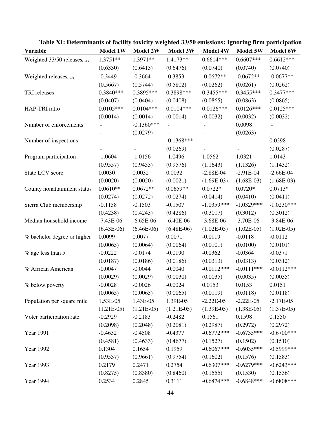| <b>Variable</b>                            | <b>Model 1W</b> | Model 2W     | <b>Model 3W</b> | <b>Model 4W</b> | Model 5W     | Model 6W      |
|--------------------------------------------|-----------------|--------------|-----------------|-----------------|--------------|---------------|
| Weighted $33/50$ releases <sub>(t-1)</sub> | 1.3751**        | 1.3971**     | 1.4173**        | $0.6614***$     | $0.6607***$  | $0.6612***$   |
|                                            | (0.6330)        | (0.6413)     | (0.6476)        | (0.0740)        | (0.0740)     | (0.0740)      |
| Weighted releases $_{(t-2)}$               | $-0.3449$       | $-0.3664$    | $-0.3853$       | $-0.0672**$     | $-0.0672**$  | $-0.0677**$   |
|                                            | (0.5667)        | (0.5744)     | (0.5802)        | (0.0262)        | (0.0261)     | (0.0262)      |
| TRI releases                               | $0.3840***$     | 0.3895***    | 0.3898***       | $0.3455***$     | $0.3455***$  | $0.3477***$   |
|                                            | (0.0407)        | (0.0404)     | (0.0408)        | (0.0865)        | (0.0863)     | (0.0865)      |
| HAP-TRI ratio                              | $0.0105***$     | $0.0104***$  | $0.0104***$     | $0.0126***$     | $0.0126***$  | $0.0125***$   |
|                                            | (0.0014)        | (0.0014)     | (0.0014)        | (0.0032)        | (0.0032)     | (0.0032)      |
| Number of enforcements                     |                 | $-0.1360***$ |                 |                 | 0.0098       |               |
|                                            |                 | (0.0279)     |                 |                 | (0.0263)     |               |
| Number of inspections                      |                 |              | $-0.1368***$    |                 |              | 0.0298        |
|                                            |                 |              | (0.0269)        |                 |              | (0.0287)      |
| Program participation                      | $-1.0604$       | $-1.0156$    | $-1.0496$       | 1.0562          | 1.0321       | 1.0143        |
|                                            | (0.9557)        | (0.9453)     | (0.9576)        | (1.1643)        | (1.1326)     | (1.1432)      |
| State LCV score                            | 0.0030          | 0.0032       | 0.0032          | $-2.88E - 04$   | $-2.91E-04$  | $-2.66E-04$   |
|                                            | (0.0020)        | (0.0020)     | (0.0021)        | $(1.69E-03)$    | $(1.68E-03)$ | $(1.68E-03)$  |
| County nonattainment status                | $0.0610**$      | $0.0672**$   | $0.0659**$      | $0.0722*$       | $0.0720*$    | $0.0713*$     |
|                                            | (0.0274)        | (0.0272)     | (0.0274)        | (0.0414)        | (0.0410)     | (0.0411)      |
| Sierra Club membership                     | $-0.1158$       | $-0.1503$    | $-0.1507$       | $-1.0359***$    | $-1.0329***$ | $-1.0230***$  |
|                                            | (0.4238)        | (0.4243)     | (0.4286)        | (0.3017)        | (0.3012)     | (0.3012)      |
| Median household income                    | $-7.43E-06$     | $-6.65E-06$  | $-6.40E-06$     | $-3.68E-06$     | $-3.70E-06$  | $-3.84E-06$   |
|                                            | $(6.43E-06)$    | $(6.46E-06)$ | $(6.48E-06)$    | $(1.02E-05)$    | $(1.02E-05)$ | $(1.02E-05)$  |
| % bachelor degree or higher                | 0.0099          | 0.0077       | 0.0071          | $-0.0119$       | $-0.0118$    | $-0.0112$     |
|                                            | (0.0065)        | (0.0064)     | (0.0064)        | (0.0101)        | (0.0100)     | (0.0101)      |
| $%$ age less than 5                        | $-0.0222$       | $-0.0174$    | $-0.0190$       | $-0.0362$       | $-0.0364$    | $-0.0371$     |
|                                            | (0.0187)        | (0.0186)     | (0.0186)        | (0.0313)        | (0.0313)     | (0.0312)      |
| % African American                         | $-0.0047$       | $-0.0044$    | $-0.0040$       | $-0.0112***$    | $-0.0111***$ | $-0.0112***$  |
|                                            | (0.0029)        | (0.0029)     | (0.0030)        | (0.0035)        | (0.0035)     | (0.0035)      |
| % below poverty                            | $-0.0028$       | $-0.0026$    | $-0.0024$       | 0.0153          | 0.0153       | 0.0151        |
|                                            | (0.0065)        | (0.0065)     | (0.0065)        | (0.0119)        | (0.0118)     | (0.0118)      |
| Population per square mile                 | 1.53E-05        | 1.43E-05     | 1.39E-05        | $-2.22E-05$     | $-2.22E-05$  | $-2.17E-05$   |
|                                            | $(1.21E-05)$    | $(1.21E-05)$ | $(1.21E-05)$    | $(1.39E-05)$    | $(1.38E-05)$ | $(1.37E-05)$  |
| Voter participation rate                   | $-0.2929$       | $-0.2183$    | $-0.2482$       | 0.1561          | 0.1598       | 0.1550        |
|                                            | (0.2098)        | (0.2048)     | (0.2081)        | (0.2987)        | (0.2972)     | (0.2972)      |
| Year 1991                                  | $-0.4632$       | $-0.4508$    | $-0.4377$       | $-0.6772***$    | $-0.6735***$ | $-0.6700***$  |
|                                            | (0.4581)        | (0.4633)     | (0.4677)        | (0.1527)        | (0.1502)     | (0.1510)      |
| Year 1992                                  | 0.1304          | 0.1654       | 0.1959          | $-0.6067***$    | $-0.6035***$ | $-0.5999$ *** |
|                                            | (0.9537)        | (0.9661)     | (0.9754)        | (0.1602)        | (0.1576)     | (0.1583)      |
| Year 1993                                  | 0.2179          | 0.2471       | 0.2754          | $-0.6307***$    | $-0.6279***$ | $-0.6243***$  |
|                                            | (0.8275)        | (0.8380)     | (0.8460)        | (0.1555)        | (0.1530)     | (0.1536)      |
| Year 1994                                  | 0.2534          | 0.2845       | 0.3111          | $-0.6874***$    | $-0.6848***$ | $-0.6808***$  |

**Table XI: Determinants of facility toxicity weighted 33/50 emissions: Ignoring firm participation**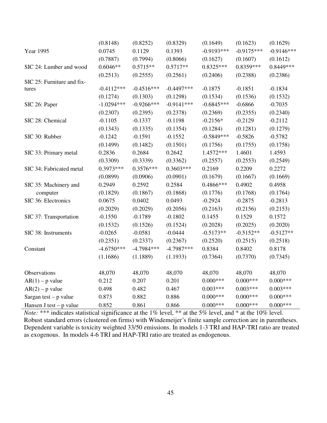|                            | (0.8148)     | (0.8252)     | (0.8329)     | (0.1649)     | (0.1623)     | (0.1629)     |
|----------------------------|--------------|--------------|--------------|--------------|--------------|--------------|
| Year 1995                  | 0.0745       | 0.1129       | 0.1393       | $-0.9193***$ | $-0.9175***$ | $-0.9146***$ |
|                            | (0.7887)     | (0.7994)     | (0.8066)     | (0.1627)     | (0.1607)     | (0.1612)     |
| SIC 24: Lumber and wood    | $0.6046**$   | $0.5715**$   | $0.5717**$   | $0.8325***$  | $0.8359***$  | 0.8449***    |
|                            | (0.2513)     | (0.2555)     | (0.2561)     | (0.2406)     | (0.2388)     | (0.2386)     |
| SIC 25: Furniture and fix- |              |              |              |              |              |              |
| tures                      | $-0.4112***$ | $-0.4516***$ | $-0.4497***$ | $-0.1875$    | $-0.1851$    | $-0.1834$    |
|                            | (0.1274)     | (0.1303)     | (0.1298)     | (0.1534)     | (0.1536)     | (0.1532)     |
| SIC 26: Paper              | $-1.0294***$ | $-0.9266***$ | $-0.9141***$ | $-0.6845***$ | $-0.6866$    | $-0.7035$    |
|                            | (0.2307)     | (0.2395)     | (0.2378)     | (0.2369)     | (0.2355)     | (0.2340)     |
| SIC 28: Chemical           | $-0.1105$    | $-0.1337$    | $-0.1198$    | $-0.2156*$   | $-0.2129$    | $-0.2112$    |
|                            | (0.1343)     | (0.1335)     | (0.1354)     | (0.1284)     | (0.1281)     | (0.1279)     |
| SIC 30: Rubber             | $-0.1242$    | $-0.1591$    | $-0.1552$    | $-0.5849***$ | $-0.5826$    | $-0.5782$    |
|                            | (0.1499)     | (0.1482)     | (0.1501)     | (0.1756)     | (0.1755)     | (0.1758)     |
| SIC 33: Primary metal      | 0.2836       | 0.2684       | 0.2642       | 1.4572***    | 1.4601       | 1.4593       |
|                            | (0.3309)     | (0.3339)     | (0.3362)     | (0.2557)     | (0.2553)     | (0.2549)     |
| SIC 34: Fabricated metal   | $0.3973***$  | $0.3576***$  | $0.3603***$  | 0.2169       | 0.2209       | 0.2272       |
|                            | (0.0899)     | (0.0906)     | (0.0901)     | (0.1679)     | (0.1667)     | (0.1669)     |
| SIC 35: Machinery and      | 0.2949       | 0.2592       | 0.2584       | 0.4866***    | 0.4902       | 0.4958       |
| computer                   | (0.1829)     | (0.1867)     | (0.1868)     | (0.1776)     | (0.1768)     | (0.1764)     |
| SIC 36: Electronics        | 0.0675       | 0.0402       | 0.0493       | $-0.2924$    | $-0.2875$    | $-0.2813$    |
|                            | (0.2029)     | (0.2029)     | (0.2056)     | (0.2163)     | (0.2156)     | (0.2153)     |
| SIC 37: Transportation     | $-0.1550$    | $-0.1789$    | $-0.1802$    | 0.1455       | 0.1529       | 0.1572       |
|                            | (0.1532)     | (0.1526)     | (0.1524)     | (0.2028)     | (0.2025)     | (0.2020)     |
| SIC 38: Instruments        | $-0.0265$    | $-0.0581$    | $-0.0444$    | $-0.5173**$  | $-0.5152**$  | $-0.5127**$  |
|                            | (0.2351)     | (0.2337)     | (0.2367)     | (0.2520)     | (0.2515)     | (0.2518)     |
| Constant                   | $-4.6750***$ | $-4.7984***$ | $-4.7987***$ | 0.8384       | 0.8402       | 0.8178       |
|                            | (1.1686)     | (1.1889)     | (1.1933)     | (0.7364)     | (0.7370)     | (0.7345)     |
|                            |              |              |              |              |              |              |
| Observations               | 48,070       | 48,070       | 48,070       | 48,070       | 48,070       | 48,070       |
| $AR(1) - p$ value          | 0.212        | 0.207        | 0.201        | $0.000***$   | $0.000***$   | $0.000***$   |
| $AR(2) - p$ value          | 0.498        | 0.482        | 0.467        | $0.003***$   | $0.003***$   | $0.003***$   |
| Sargan test $-p$ value     | 0.873        | 0.882        | 0.886        | $0.000***$   | $0.000***$   | $0.000***$   |
| Hansen J test $-p$ value   | 0.852        | 0.861        | 0.866        | $0.000***$   | $0.000***$   | $0.000***$   |

*Note:* \*\*\* indicates statistical significance at the 1% level, \*\* at the 5% level, and \* at the 10% level. Robust standard errors (clustered on firms) with Windemeijer's finite sample correction are in parentheses. Dependent variable is toxicity weighted 33/50 emissions. In models 1-3 TRI and HAP-TRI ratio are treated as exogenous. In models 4-6 TRI and HAP-TRI ratio are treated as endogenous.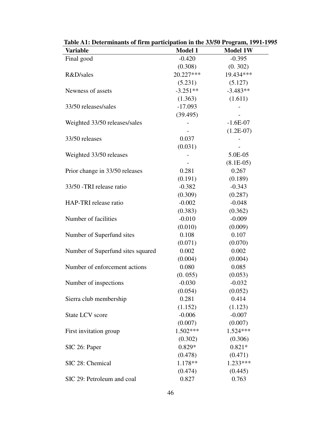| <b>Variable</b>                   | <b>Model 1</b> | <b>Model 1W</b> |
|-----------------------------------|----------------|-----------------|
| Final good                        | $-0.420$       | $-0.395$        |
|                                   | (0.308)        | (0.302)         |
| R&D/sales                         | 20.227***      | 19.434***       |
|                                   | (5.231)        | (5.127)         |
| Newness of assets                 | $-3.251**$     | $-3.483**$      |
|                                   | (1.363)        | (1.611)         |
| 33/50 releases/sales              | $-17.093$      |                 |
|                                   | (39.495)       |                 |
| Weighted 33/50 releases/sales     |                | $-1.6E-07$      |
|                                   |                | $(1.2E-07)$     |
| 33/50 releases                    | 0.037          |                 |
|                                   | (0.031)        |                 |
| Weighted 33/50 releases           |                | 5.0E-05         |
|                                   |                | $(8.1E-05)$     |
| Prior change in 33/50 releases    | 0.281          | 0.267           |
|                                   | (0.191)        | (0.189)         |
| 33/50 -TRI release ratio          | $-0.382$       | $-0.343$        |
|                                   | (0.309)        | (0.287)         |
| HAP-TRI release ratio             | $-0.002$       | $-0.048$        |
|                                   | (0.383)        | (0.362)         |
| Number of facilities              | $-0.010$       | $-0.009$        |
|                                   | (0.010)        | (0.009)         |
| Number of Superfund sites         | 0.108          | 0.107           |
|                                   | (0.071)        | (0.070)         |
| Number of Superfund sites squared | 0.002          | 0.002           |
|                                   | (0.004)        | (0.004)         |
| Number of enforcement actions     | 0.080          | 0.085           |
|                                   | (0.055)        | (0.053)         |
| Number of inspections             | $-0.030$       | $-0.032$        |
|                                   | (0.054)        | (0.052)         |
| Sierra club membership            | 0.281          | 0.414           |
|                                   | (1.152)        | (1.123)         |
| State LCV score                   | $-0.006$       | $-0.007$        |
|                                   | (0.007)        | (0.007)         |
| First invitation group            | $1.502***$     | 1.524***        |
|                                   | (0.302)        | (0.306)         |
| SIC 26: Paper                     | $0.829*$       | $0.821*$        |
|                                   | (0.478)        | (0.471)         |
| SIC 28: Chemical                  | 1.178**        | 1.233***        |
|                                   | (0.474)        | (0.445)         |
| SIC 29: Petroleum and coal        | 0.827          | 0.763           |

**Table A1: Determinants of firm participation in the 33/50 Program, 1991-1995**